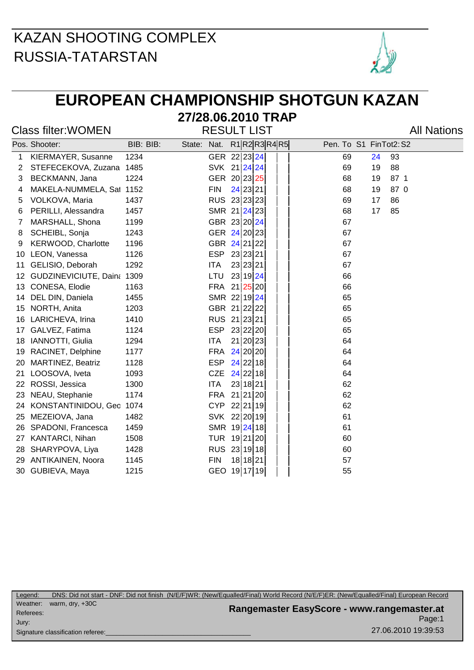

## **EUROPEAN CHAMPIONSHIP SHOTGUN KAZAN**

#### **27/28.06.2010 TRAP**

Class filter: WOMEN RESULT LIST Class filter: WOMEN

|    | Pos. Shooter:              | BIB: BIB: | State: Nat. |            | $R1$ R2R3R4R5  |  | Pen. To S1 FinTot2: S2 |    |      |
|----|----------------------------|-----------|-------------|------------|----------------|--|------------------------|----|------|
| 1  | KIERMAYER, Susanne         | 1234      |             |            | GER 22 23 24   |  | 69                     | 24 | 93   |
| 2  | STEFECEKOVA, Zuzana 1485   |           |             |            | SVK 21 24 24   |  | 69                     | 19 | 88   |
| 3  | BECKMANN, Jana             | 1224      |             |            | GER 20 23 25   |  | 68                     | 19 | 87 1 |
| 4  | MAKELA-NUMMELA, Sat 1152   |           |             | <b>FIN</b> | 24 23 21       |  | 68                     | 19 | 87 0 |
| 5  | VOLKOVA, Maria             | 1437      |             |            | RUS 23 23 23   |  | 69                     | 17 | 86   |
| 6  | PERILLI, Alessandra        | 1457      |             |            | SMR 21 24 23   |  | 68                     | 17 | 85   |
| 7  | MARSHALL, Shona            | 1199      |             |            | GBR 23 20 24   |  | 67                     |    |      |
| 8  | SCHEIBL, Sonja             | 1243      |             |            | GER 24 20 23   |  | 67                     |    |      |
| 9  | KERWOOD, Charlotte         | 1196      |             |            | GBR 24 21 22   |  | 67                     |    |      |
| 10 | LEON, Vanessa              | 1126      |             | <b>ESP</b> | 23 23 21       |  | 67                     |    |      |
| 11 | GELISIO, Deborah           | 1292      |             | <b>ITA</b> | 23 23 21       |  | 67                     |    |      |
| 12 | GUDZINEVICIUTE, Daina 1309 |           |             | LTU        | 23 19 24       |  | 66                     |    |      |
| 13 | CONESA, Elodie             | 1163      |             | <b>FRA</b> | $21$ $25$ $20$ |  | 66                     |    |      |
| 14 | DEL DIN, Daniela           | 1455      |             |            | SMR 22 19 24   |  | 65                     |    |      |
| 15 | NORTH, Anita               | 1203      |             |            | GBR 21 22 22   |  | 65                     |    |      |
| 16 | LARICHEVA, Irina           | 1410      |             |            | RUS 21 23 21   |  | 65                     |    |      |
| 17 | GALVEZ, Fatima             | 1124      |             | <b>ESP</b> | 23 22 20       |  | 65                     |    |      |
| 18 | IANNOTTI, Giulia           | 1294      |             | <b>ITA</b> | 21 20 23       |  | 64                     |    |      |
| 19 | RACINET, Delphine          | 1177      |             | <b>FRA</b> | 24 20 20       |  | 64                     |    |      |
| 20 | <b>MARTINEZ, Beatriz</b>   | 1128      |             | <b>ESP</b> | $24$ 22 18     |  | 64                     |    |      |
| 21 | LOOSOVA, Iveta             | 1093      |             | <b>CZE</b> | $24$ 22 18     |  | 64                     |    |      |
| 22 | ROSSI, Jessica             | 1300      |             | <b>ITA</b> | 23 18 21       |  | 62                     |    |      |
| 23 | NEAU, Stephanie            | 1174      |             | <b>FRA</b> | 21 21 20       |  | 62                     |    |      |
| 24 | KONSTANTINIDOU, Geo 1074   |           |             | <b>CYP</b> | 22 21 19       |  | 62                     |    |      |
| 25 | MEZEIOVA, Jana             | 1482      |             |            | SVK 22 20 19   |  | 61                     |    |      |
| 26 | SPADONI, Francesca         | 1459      |             |            | SMR 19 24 18   |  | 61                     |    |      |
| 27 | <b>KANTARCI, Nihan</b>     | 1508      |             | <b>TUR</b> | 19 21 20       |  | 60                     |    |      |
| 28 | SHARYPOVA, Liya            | 1428      |             |            | RUS 23 19 18   |  | 60                     |    |      |
| 29 | <b>ANTIKAINEN, Noora</b>   | 1145      |             | <b>FIN</b> | 18 18 21       |  | 57                     |    |      |
|    | 30 GUBIEVA, Maya           | 1215      |             |            | GEO 19 17 19   |  | 55                     |    |      |

Page:1 **Rangemaster EasyScore - www.rangemaster.at** 27.06.2010 19:39:53 Weather: warm, dry, +30C Referees: Signature classification referee: Jury: Legend: DNS: Did not start - DNF: Did not finish (N/E/F)WR: (New/Equalled/Final) World Record (N/E/F)ER: (New/Equalled/Final) European Record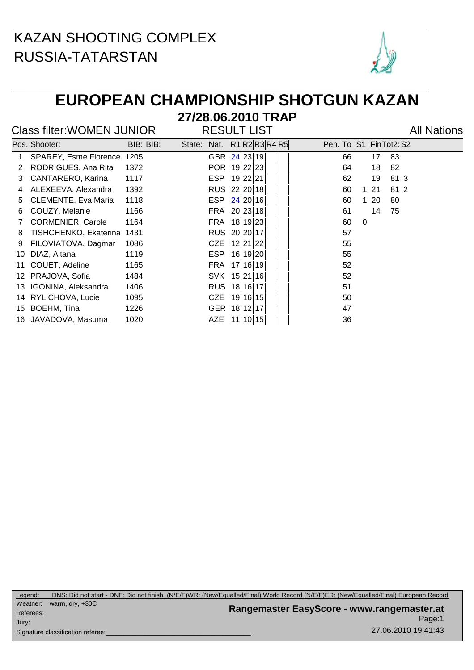

## **EUROPEAN CHAMPIONSHIP SHOTGUN KAZAN**

#### Class filter: WOMEN JUNIOR RESULT LIST Class filter: WOMEN JUNIOR

**27/28.06.2010 TRAP**

|    | Pos. Shooter:                | BIB: BIB: | State: | Nat.         | R1 R2 R3 R4 R5 | Pen. To S1 FinTot2: S2 |
|----|------------------------------|-----------|--------|--------------|----------------|------------------------|
|    | <b>SPAREY, Esme Florence</b> | 1205      |        | GBR 24 23 19 |                | 83<br>66<br>17         |
| 2  | RODRIGUES, Ana Rita          | 1372      |        | POR 19 22 23 |                | 82<br>64<br>18         |
| 3  | CANTARERO, Karina            | 1117      |        | ESP          | 19 22 21       | 62<br>81 3<br>19       |
| 4  | ALEXEEVA, Alexandra          | 1392      |        | RUS 22 20 18 |                | 81 2<br>60<br>121      |
| 5. | <b>CLEMENTE, Eva Maria</b>   | 1118      |        | ESP          | 24 20 16       | $120$<br>60<br>80      |
| 6  | COUZY, Melanie               | 1166      |        | FRA          | 20 23 18       | 75<br>61<br>14         |
|    | <b>CORMENIER, Carole</b>     | 1164      |        | FRA          | 18 19 23       | 60<br>$\Omega$         |
| 8  | TISHCHENKO, Ekaterina        | 1431      |        | RUS 20 20 17 |                | 57                     |
| 9  | FILOVIATOVA, Dagmar          | 1086      |        | CZE 12 21 22 |                | 55                     |
| 10 | DIAZ, Aitana                 | 1119      |        | ESP          | 16 19 20       | 55                     |
| 11 | COUET, Adeline               | 1165      |        | FRA          | 17 16 19       | 52                     |
| 12 | PRAJOVA, Sofia               | 1484      |        | SVK 15 21 16 |                | 52                     |
|    | 13 IGONINA, Aleksandra       | 1406      |        | RUS 18 16 17 |                | 51                     |
|    | 14 RYLICHOVA, Lucie          | 1095      |        | CZE 19 16 15 |                | 50                     |
| 15 | BOEHM, Tina                  | 1226      |        | GER          | 18 12 17       | 47                     |
| 16 | JAVADOVA, Masuma             | 1020      |        | AZE          | 11 10 15       | 36                     |
|    |                              |           |        |              |                |                        |

Page:1 **Rangemaster EasyScore - www.rangemaster.at** 27.06.2010 19:41:43 Weather: warm, dry, +30C Referees: Signature classification referee: Jury: Legend: DNS: Did not start - DNF: Did not finish (N/E/F)WR: (New/Equalled/Final) World Record (N/E/F)ER: (New/Equalled/Final) European Record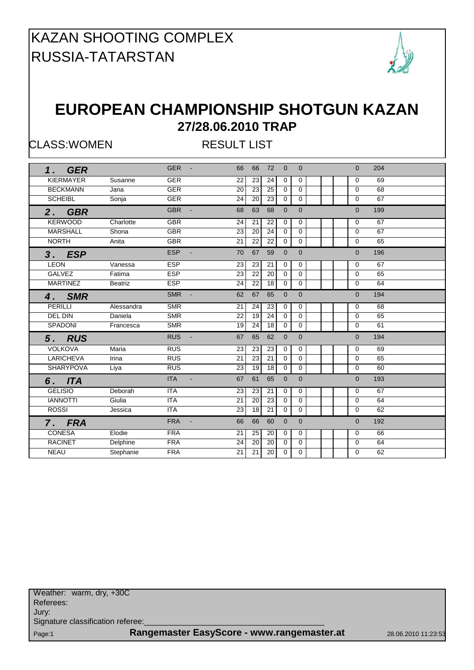

#### **EUROPEAN CHAMPIONSHIP SHOTGUN KAZAN 27/28.06.2010 TRAP**

CLASS:WOMEN RESULT LIST

| 1. GER           |                | <b>GER</b><br>$\blacksquare$ | 66<br>72<br>66<br>$\Omega$  | $\Omega$                       | 204<br>$\Omega$   |
|------------------|----------------|------------------------------|-----------------------------|--------------------------------|-------------------|
| <b>KIERMAYER</b> | Susanne        | <b>GER</b>                   | 23<br>24<br>22              | $\mathbf 0$<br>$\mathbf 0$     | 69<br>$\Omega$    |
| <b>BECKMANN</b>  | Jana           | <b>GER</b>                   | 20<br>23<br>25              | $\mathbf 0$<br>$\mathbf 0$     | 68<br>$\Omega$    |
| <b>SCHEIBL</b>   | Sonja          | <b>GER</b>                   | 24<br>20<br>23              | $\Omega$<br>$\mathbf 0$        | 67<br>$\Omega$    |
| 2. GBR           |                | <b>GBR</b><br>$\blacksquare$ | 68<br>63<br>68              | $\overline{0}$<br>$\Omega$     | $\Omega$<br>199   |
| <b>KERWOOD</b>   | Charlotte      | <b>GBR</b>                   | 24<br>21<br>22              | 0<br>0                         | 67<br>$\Omega$    |
| <b>MARSHALL</b>  | Shona          | <b>GBR</b>                   | 24<br>20<br>23              | 0<br>$\mathbf 0$               | 67<br>$\Omega$    |
| <b>NORTH</b>     | Anita          | <b>GBR</b>                   | $\overline{22}$<br>21<br>22 | 0<br>$\mathbf 0$               | 65<br>$\mathbf 0$ |
| 3. ESP           |                | <b>ESP</b><br>$\mathbf{r}$   | 70<br>67<br>59              | $\overline{0}$<br>$\mathbf{0}$ | 196<br>$\Omega$   |
| <b>LEON</b>      | Vanessa        | <b>ESP</b>                   | 23<br>23<br>21              | 0<br>0                         | $\Omega$<br>67    |
| <b>GALVEZ</b>    | Fatima         | <b>ESP</b>                   | 23<br>22<br>20              | 0<br>$\mathbf 0$               | 65<br>$\Omega$    |
| <b>MARTINEZ</b>  | <b>Beatriz</b> | <b>ESP</b>                   | 24<br>22<br>18              | 0<br>$\mathbf 0$               | 64<br>$\mathbf 0$ |
| 4. SMR           |                | <b>SMR</b>                   | 62<br>67<br>65              | $\mathbf{0}$<br>$\mathbf{0}$   | 194<br>$\Omega$   |
| PERILLI          | Alessandra     | <b>SMR</b>                   | 21<br>24<br>23              | $\mathbf 0$<br>0               | 68<br>$\Omega$    |
| DEL DIN          | Daniela        | <b>SMR</b>                   | 24<br>19<br>22              | $\mathbf 0$<br>$\mathbf 0$     | 65<br>$\Omega$    |
| SPADONI          | Francesca      | <b>SMR</b>                   | 18<br>19<br>24              | 0<br>$\mathbf 0$               | 61<br>0           |
| 5. RUS           |                | <b>RUS</b><br>$\blacksquare$ | 62<br>67<br>65              | $\overline{0}$<br>$\mathbf{0}$ | 194<br>$\Omega$   |
| <b>VOLKOVA</b>   | Maria          | RUS                          | 23<br>23<br>23              | 0<br>0                         | 69<br>$\Omega$    |
| <b>LARICHEVA</b> | Irina          | <b>RUS</b>                   | 21<br>21<br>23              | 0<br>0                         | 65<br>$\Omega$    |
| <b>SHARYPOVA</b> | Liya           | <b>RUS</b>                   | 19<br>$\overline{18}$<br>23 | $\Omega$<br>$\Omega$           | 60<br>$\Omega$    |
| 6. ITA           |                | <b>ITA</b><br>$\blacksquare$ | 67<br>61<br>65              | $\overline{0}$<br>$\Omega$     | 193<br>$\Omega$   |
| <b>GELISIO</b>   | Deborah        | <b>ITA</b>                   | 23<br>23<br>21              | 0<br>0                         | 67<br>$\Omega$    |
| <b>IANNOTTI</b>  | Giulia         | <b>ITA</b>                   | 23<br>20<br>21              | $\mathbf 0$<br>$\mathbf 0$     | 64<br>$\Omega$    |
| <b>ROSSI</b>     | Jessica        | <b>ITA</b>                   | 23<br>18<br>21              | $\Omega$<br>$\mathbf 0$        | 62<br>$\Omega$    |
| 7. FRA           |                | <b>FRA</b><br>$\blacksquare$ | 66<br>60<br>66              | $\Omega$<br>$\Omega$           | $\Omega$<br>192   |
| <b>CONESA</b>    | Elodie         | <b>FRA</b>                   | 25<br>21<br>20              | $\mathbf 0$<br>0               | 66<br>$\Omega$    |
| <b>RACINET</b>   | Delphine       | <b>FRA</b>                   | 20<br>20<br>24              | $\mathbf 0$<br>$\mathbf 0$     | 64<br>$\Omega$    |
| <b>NEAU</b>      | Stephanie      | <b>FRA</b>                   | 21<br>21<br>20              | $\Omega$<br>$\mathbf 0$        | 62<br>$\Omega$    |
|                  |                |                              |                             |                                |                   |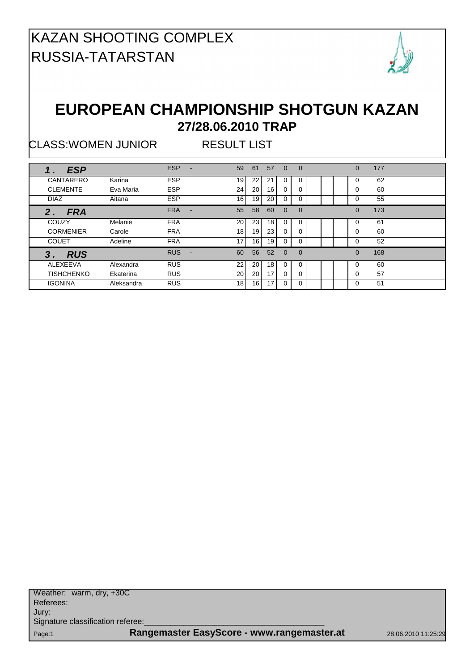

#### **EUROPEAN CHAMPIONSHIP SHOTGUN KAZAN 27/28.06.2010 TRAP**

CLASS:WOMEN JUNIOR RESULT LIST

| <b>ESP</b>        |            | <b>ESP</b>      | 59              | 61              | 57              | $\Omega$ | $\Omega$ |  | $\Omega$ | 177 |  |
|-------------------|------------|-----------------|-----------------|-----------------|-----------------|----------|----------|--|----------|-----|--|
| CANTARERO         | Karina     | <b>ESP</b>      | 19              | 221             | 21              | 0        | 0        |  | 0        | 62  |  |
| <b>CLEMENTE</b>   | Eva Maria  | <b>ESP</b>      | 24              | 20              | 16              | 0        | 0        |  | O        | 60  |  |
| <b>DIAZ</b>       | Aitana     | <b>ESP</b>      | 16 <sup>1</sup> | 19              | 20              | 0        | 0        |  | 0        | 55  |  |
| <b>FRA</b><br>2.  |            | <b>FRA</b><br>- | 55              | 58              | 60              | $\Omega$ | $\Omega$ |  | $\Omega$ | 173 |  |
| COUZY             | Melanie    | <b>FRA</b>      | 20              | 23 <sub>1</sub> | 18              | 0        | $\Omega$ |  | 0        | 61  |  |
| <b>CORMENIER</b>  | Carole     | <b>FRA</b>      | 18              | 19              | 23              | 0        |          |  | 0        | 60  |  |
| <b>COUET</b>      | Adeline    | <b>FRA</b>      | 17 <sup>1</sup> | 16              | 19              | 0        |          |  | $\Omega$ | 52  |  |
| <b>RUS</b><br>3   |            | <b>RUS</b>      | 60              | 56              | 52              | $\Omega$ | $\Omega$ |  | $\Omega$ | 168 |  |
| ALEXEEVA          | Alexandra  | <b>RUS</b>      | 22              | 20 <sub>1</sub> | 18 <sup>1</sup> | $\Omega$ | $\Omega$ |  | 0        | 60  |  |
| <b>TISHCHENKO</b> | Ekaterina  | <b>RUS</b>      | 20              | 20              | 17              | $\Omega$ | U        |  | 0        | 57  |  |
| <b>IGONINA</b>    | Aleksandra | <b>RUS</b>      | 18 <sup>1</sup> | 16              | 17              | 0        | 0        |  | 0        | 51  |  |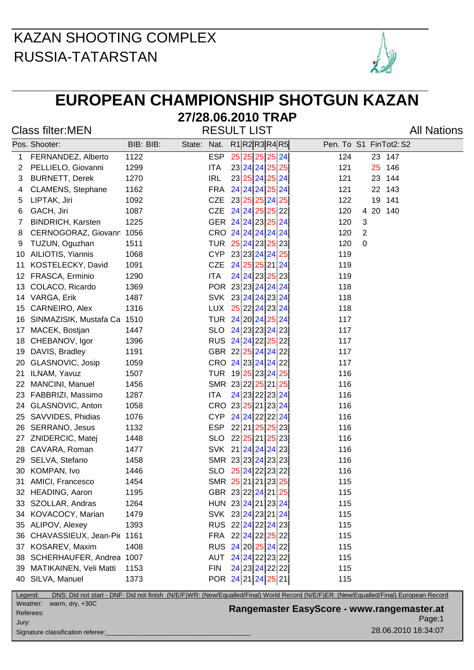

## **EUROPEAN CHAMPIONSHIP SHOTGUN KAZAN**

#### **27/28.06.2010 TRAP**

Class filter:MEN **RESULT LIST** All Nations

|         | Pos. Shooter:               | BIB: BIB: | State: Nat. |            | R1 R2 R3 R4 R5     | Pen. To S1 FinTot2: S2                                                                                                                |  |
|---------|-----------------------------|-----------|-------------|------------|--------------------|---------------------------------------------------------------------------------------------------------------------------------------|--|
| 1       | FERNANDEZ, Alberto          | 1122      |             | <b>ESP</b> | 25 25 25 25 24     | 124<br>23 147                                                                                                                         |  |
| 2       | PELLIELO, Giovanni          | 1299      |             | ITA        | 23 24 24 25 25     | 121<br>25<br>146                                                                                                                      |  |
| 3       | <b>BURNETT, Derek</b>       | 1270      |             | <b>IRL</b> | 23 25 24 25 24     | 121<br>23<br>144                                                                                                                      |  |
| 4       | <b>CLAMENS, Stephane</b>    | 1162      |             |            | FRA 24 24 24 25 24 | 121<br>22 143                                                                                                                         |  |
| 5       | LIPTAK, Jiri                | 1092      |             | CZE        | 23 25 25 24 25     | 19<br>141<br>122                                                                                                                      |  |
| 6       | GACH, Jiri                  | 1087      |             |            | CZE 24 24 25 25 22 | 4 20<br>120<br>140                                                                                                                    |  |
| 7       | <b>BINDRICH, Karsten</b>    | 1225      |             |            | GER 24 24 23 25 24 | 120<br>3                                                                                                                              |  |
| 8       | CERNOGORAZ, Giovann 1056    |           |             |            | CRO 24 24 24 24 24 | $\overline{2}$<br>120                                                                                                                 |  |
| 9       | TUZUN, Oguzhan              | 1511      |             |            | TUR 25 24 23 25 23 | 0<br>120                                                                                                                              |  |
| 10      | AILIOTIS, Yiannis           | 1068      |             |            | CYP 23 23 24 24 25 | 119                                                                                                                                   |  |
| 11      | KOSTELECKY, David           | 1091      |             | <b>CZE</b> | 24 25 25 21 24     | 119                                                                                                                                   |  |
| 12      | FRASCA, Erminio             | 1290      |             | ITA        | 24 24 23 25 23     | 119                                                                                                                                   |  |
| 13      | COLACO, Ricardo             | 1369      |             |            | POR 23 23 24 24 24 | 118                                                                                                                                   |  |
| 14      | VARGA, Erik                 | 1487      |             |            | SVK 23 24 24 23 24 | 118                                                                                                                                   |  |
| 15      | CARNEIRO, Alex              | 1316      |             |            | LUX 25 22 24 23 24 | 118                                                                                                                                   |  |
| 16      | SINMAZISIK, Mustafa Ca 1510 |           |             |            | TUR 24 20 24 25 24 | 117                                                                                                                                   |  |
| 17      | MACEK, Bostjan              | 1447      |             |            | SLO 24 23 23 24 23 | 117                                                                                                                                   |  |
| 18      | CHEBANOV, Igor              | 1396      |             |            | RUS 24 24 22 25 22 | 117                                                                                                                                   |  |
| 19      | DAVIS, Bradley              | 1191      |             |            | GBR 22 25 24 24 22 | 117                                                                                                                                   |  |
| 20      | GLASNOVIC, Josip            | 1059      |             |            | CRO 24 23 24 24 22 | 117                                                                                                                                   |  |
| 21      | ILNAM, Yavuz                | 1507      |             |            | TUR 19 25 23 24 25 | 116                                                                                                                                   |  |
| 22      | MANCINI, Manuel             | 1456      |             |            | SMR 23 22 25 21 25 | 116                                                                                                                                   |  |
| 23      | FABBRIZI, Massimo           | 1287      |             | <b>ITA</b> | 24 23 22 23 24     | 116                                                                                                                                   |  |
| 24      | GLASNOVIC, Anton            | 1058      |             |            | CRO 23 25 21 23 24 | 116                                                                                                                                   |  |
| 25      | SAVVIDES, Phidias           | 1076      |             |            | CYP 24 24 22 22 24 | 116                                                                                                                                   |  |
| 26      | SERRANO, Jesus              | 1132      |             |            | ESP 22 21 25 25 23 | 116                                                                                                                                   |  |
| 27      | ZNIDERCIC, Matej            | 1448      |             |            | SLO 22 25 21 25 23 | 116                                                                                                                                   |  |
| 28      | CAVARA, Roman               | 1477      |             |            | SVK 21 24 24 24 23 | 116                                                                                                                                   |  |
| 29      | SELVA, Stefano              | 1458      |             |            | SMR 23 23 24 23 23 | 116                                                                                                                                   |  |
| 30      | KOMPAN, Ivo                 | 1446      |             |            | SLO 25 24 22 23 22 | 116                                                                                                                                   |  |
| 31      | AMICI, Francesco            | 1454      |             |            | SMR 25 21 21 23 25 | 115                                                                                                                                   |  |
|         | 32 HEADING, Aaron           | 1195      |             |            | GBR 23 22 24 21 25 | 115                                                                                                                                   |  |
|         | 33 SZOLLAR, Andras          | 1264      |             |            | HUN 23 24 21 23 24 | 115                                                                                                                                   |  |
|         | 34 KOVACOCY, Marian         | 1479      |             |            | SVK 23 24 23 21 24 | 115                                                                                                                                   |  |
|         | 35 ALIPOV, Alexey           | 1393      |             |            | RUS 22 24 22 24 23 | 115                                                                                                                                   |  |
| 36      | CHAVASSIEUX, Jean-Pic 1161  |           |             |            | FRA 22 24 22 25 22 | 115                                                                                                                                   |  |
| 37      | KOSAREV, Maxim              | 1408      |             |            | RUS 24 20 25 24 22 | 115                                                                                                                                   |  |
| 38      | SCHERHAUFER, Andrea 1007    |           |             |            | AUT 24 24 22 23 22 | 115                                                                                                                                   |  |
| 39      | MATIKAINEN, Veli Matti      | 1153      |             | <b>FIN</b> | 24 23 24 22 22     | 115                                                                                                                                   |  |
|         | 40 SILVA, Manuel            | 1373      |             |            | POR 24 21 24 25 21 | 115                                                                                                                                   |  |
| Legend: |                             |           |             |            |                    | DNS: Did not start - DNF: Did not finish (N/E/F)WR: (New/Equalled/Final) World Record (N/E/F)ER: (New/Equalled/Final) European Record |  |

Weather: warm, dry, +30C Referees: Signature classification referee: Jury:

Page:1 **Rangemaster EasyScore - www.rangemaster.at**

28.06.2010 18:34:07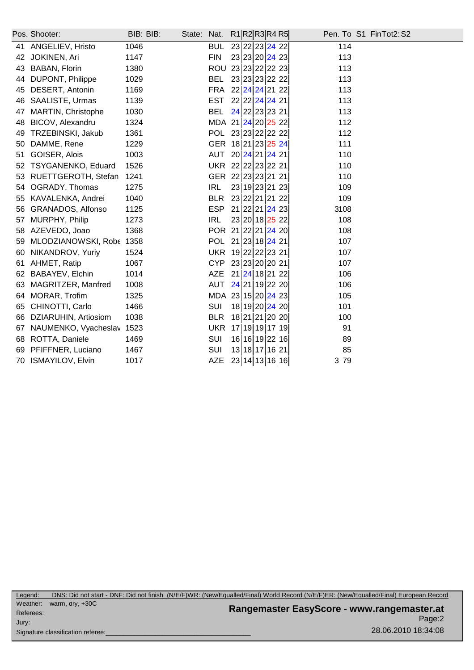|                           | BIB: BIB:                            |                          | Nat.       |     |  | Pen. To S1 FinTot2: S2                                                                                                                                                                                                                                                                                                                                                                                                                                                                                                                                                                                                    |
|---------------------------|--------------------------------------|--------------------------|------------|-----|--|---------------------------------------------------------------------------------------------------------------------------------------------------------------------------------------------------------------------------------------------------------------------------------------------------------------------------------------------------------------------------------------------------------------------------------------------------------------------------------------------------------------------------------------------------------------------------------------------------------------------------|
| ANGELIEV, Hristo          | 1046                                 |                          | <b>BUL</b> |     |  | 114                                                                                                                                                                                                                                                                                                                                                                                                                                                                                                                                                                                                                       |
| JOKINEN, Ari              | 1147                                 |                          | <b>FIN</b> |     |  | 113                                                                                                                                                                                                                                                                                                                                                                                                                                                                                                                                                                                                                       |
| BABAN, Florin             | 1380                                 |                          |            |     |  | 113                                                                                                                                                                                                                                                                                                                                                                                                                                                                                                                                                                                                                       |
| DUPONT, Philippe          | 1029                                 |                          | <b>BEL</b> |     |  | 113                                                                                                                                                                                                                                                                                                                                                                                                                                                                                                                                                                                                                       |
| DESERT, Antonin           | 1169                                 |                          |            |     |  | 113                                                                                                                                                                                                                                                                                                                                                                                                                                                                                                                                                                                                                       |
| SAALISTE, Urmas           | 1139                                 |                          | <b>EST</b> |     |  | 113                                                                                                                                                                                                                                                                                                                                                                                                                                                                                                                                                                                                                       |
| MARTIN, Christophe        | 1030                                 |                          | <b>BEL</b> |     |  | 113                                                                                                                                                                                                                                                                                                                                                                                                                                                                                                                                                                                                                       |
| BICOV, Alexandru          | 1324                                 |                          |            |     |  | 112                                                                                                                                                                                                                                                                                                                                                                                                                                                                                                                                                                                                                       |
| TRZEBINSKI, Jakub         | 1361                                 |                          |            |     |  | 112                                                                                                                                                                                                                                                                                                                                                                                                                                                                                                                                                                                                                       |
| DAMME, Rene               | 1229                                 |                          |            |     |  | 111                                                                                                                                                                                                                                                                                                                                                                                                                                                                                                                                                                                                                       |
| GOISER, Alois             | 1003                                 |                          |            |     |  | 110                                                                                                                                                                                                                                                                                                                                                                                                                                                                                                                                                                                                                       |
| <b>TSYGANENKO, Eduard</b> | 1526                                 |                          |            |     |  | 110                                                                                                                                                                                                                                                                                                                                                                                                                                                                                                                                                                                                                       |
| RUETTGEROTH, Stefan       | 1241                                 |                          |            |     |  | 110                                                                                                                                                                                                                                                                                                                                                                                                                                                                                                                                                                                                                       |
| OGRADY, Thomas            | 1275                                 |                          | <b>IRL</b> |     |  | 109                                                                                                                                                                                                                                                                                                                                                                                                                                                                                                                                                                                                                       |
| KAVALENKA, Andrei         | 1040                                 |                          | <b>BLR</b> |     |  | 109                                                                                                                                                                                                                                                                                                                                                                                                                                                                                                                                                                                                                       |
| GRANADOS, Alfonso         | 1125                                 |                          | <b>ESP</b> |     |  | 3108                                                                                                                                                                                                                                                                                                                                                                                                                                                                                                                                                                                                                      |
| MURPHY, Philip            | 1273                                 |                          | <b>IRL</b> |     |  | 108                                                                                                                                                                                                                                                                                                                                                                                                                                                                                                                                                                                                                       |
| AZEVEDO, Joao             | 1368                                 |                          |            |     |  | 108                                                                                                                                                                                                                                                                                                                                                                                                                                                                                                                                                                                                                       |
|                           |                                      |                          |            |     |  | 107                                                                                                                                                                                                                                                                                                                                                                                                                                                                                                                                                                                                                       |
| NIKANDROV, Yuriy          | 1524                                 |                          |            |     |  | 107                                                                                                                                                                                                                                                                                                                                                                                                                                                                                                                                                                                                                       |
| AHMET, Ratip              | 1067                                 |                          | <b>CYP</b> |     |  | 107                                                                                                                                                                                                                                                                                                                                                                                                                                                                                                                                                                                                                       |
| BABAYEV, Elchin           | 1014                                 |                          | <b>AZE</b> |     |  | 106                                                                                                                                                                                                                                                                                                                                                                                                                                                                                                                                                                                                                       |
| MAGRITZER, Manfred        | 1008                                 |                          | AUT        |     |  | 106                                                                                                                                                                                                                                                                                                                                                                                                                                                                                                                                                                                                                       |
| MORAR, Trofim             | 1325                                 |                          |            |     |  | 105                                                                                                                                                                                                                                                                                                                                                                                                                                                                                                                                                                                                                       |
| CHINOTTI, Carlo           | 1466                                 |                          | SUI        |     |  | 101                                                                                                                                                                                                                                                                                                                                                                                                                                                                                                                                                                                                                       |
| DZIARUHIN, Artiosiom      | 1038                                 |                          | <b>BLR</b> |     |  | 100                                                                                                                                                                                                                                                                                                                                                                                                                                                                                                                                                                                                                       |
| NAUMENKO, Vyacheslav      | 1523                                 |                          | <b>UKR</b> |     |  | 91                                                                                                                                                                                                                                                                                                                                                                                                                                                                                                                                                                                                                        |
| ROTTA, Daniele            | 1469                                 |                          | SUI        |     |  | 89                                                                                                                                                                                                                                                                                                                                                                                                                                                                                                                                                                                                                        |
| PFIFFNER, Luciano         | 1467                                 |                          | SUI        |     |  | 85                                                                                                                                                                                                                                                                                                                                                                                                                                                                                                                                                                                                                        |
|                           | 1017                                 |                          | <b>AZE</b> |     |  | 3 79                                                                                                                                                                                                                                                                                                                                                                                                                                                                                                                                                                                                                      |
|                           | Pos. Shooter:<br>70 ISMAYILOV, Elvin | MLODZIANOWSKI, Robe 1358 | State:     | AUT |  | R1 R2 R3 R4 R5 <br>23 22 23 24 22<br>23 23 20 24 23<br>ROU 23 23 22 22 23<br>23 23 23 22 22<br>FRA 22 24 24 21 22<br>22 22 24 24 21<br>$24$ 22 23 23 21<br>MDA 21 24 20 25 22<br>POL 23 23 22 22 22<br>GER 18 21 23 25 24<br>20 24 21 24 21<br>UKR 22 22 23 22 21<br>GER 22 23 23 21 21<br>23 19 23 21 23<br>23 22 21 21 22<br>21 22 21 24 23<br>23 20 18 25 22<br>POR 21 22 21 24 20<br>POL 21 23 18 24 21<br>UKR 19 22 22 23 21<br>23 23 20 20 21<br>21 24 18 21 22<br>24 21 19 22 20<br>MDA 23 15 20 24 23<br>18 19 20 24 20<br>18 21 21 20 20<br>17 19 19 17 19<br>16 16 19 22 16<br>13 18 17 16 21<br>23 14 13 16 16 |

Page:2 **Rangemaster EasyScore - www.rangemaster.at** 28.06.2010 18:34:08 Weather: warm, dry, +30C Referees: Signature classification referee: Jury: Legend: DNS: Did not start - DNF: Did not finish (N/E/F)WR: (New/Equalled/Final) World Record (N/E/F)ER: (New/Equalled/Final) European Record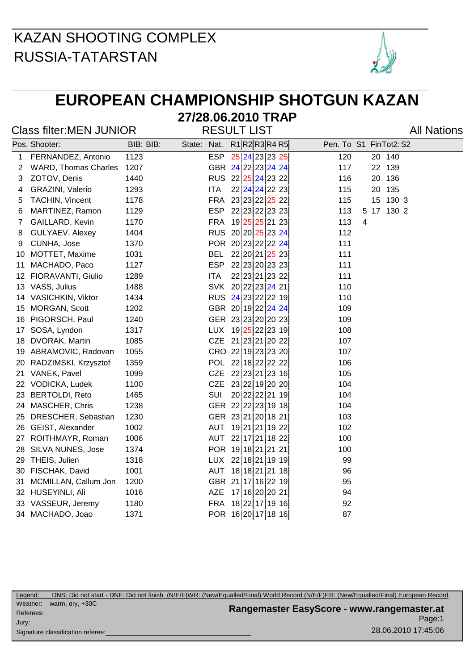

## **EUROPEAN CHAMPIONSHIP SHOTGUN KAZAN**

#### **27/28.06.2010 TRAP** Class filter:MEN JUNIOR RESULT LIST

|    | Pos. Shooter:               | BIB: BIB: | State: Nat. |            | R1 R2 R3 R4 R5     |     |   | Pen. To S1 FinTot2: S2 |  |
|----|-----------------------------|-----------|-------------|------------|--------------------|-----|---|------------------------|--|
| 1  | FERNANDEZ, Antonio          | 1123      |             | <b>ESP</b> | 25 24 23 23 25     | 120 |   | 20 140                 |  |
| 2  | <b>WARD, Thomas Charles</b> | 1207      |             |            | GBR 24 22 23 24 24 | 117 |   | 22 139                 |  |
| 3  | ZOTOV, Denis                | 1440      |             |            | RUS 22 25 24 23 22 | 116 |   | 20 136                 |  |
| 4  | GRAZINI, Valerio            | 1293      |             | <b>ITA</b> | 22 24 24 22 23     | 115 |   | 20 135                 |  |
| 5  | TACHIN, Vincent             | 1178      |             | <b>FRA</b> | 23 23 22 25 22     | 115 |   | 15 130 3               |  |
| 6  | MARTINEZ, Ramon             | 1129      |             | <b>ESP</b> | 22 23 22 23 23     | 113 |   | 5 17 130 2             |  |
| 7  | GAILLARD, Kevin             | 1170      |             | <b>FRA</b> | 19 25 25 21 23     | 113 | 4 |                        |  |
| 8  | GULYAEV, Alexey             | 1404      |             |            | RUS 20 20 25 23 24 | 112 |   |                        |  |
| 9  | CUNHA, Jose                 | 1370      |             |            | POR 20 23 22 22 24 | 111 |   |                        |  |
| 10 | MOTTET, Maxime              | 1031      |             | <b>BEL</b> | 22 20 21 25 23     | 111 |   |                        |  |
| 11 | MACHADO, Paco               | 1127      |             | <b>ESP</b> | 22 23 20 23 23     | 111 |   |                        |  |
| 12 | FIORAVANTI, Giulio          | 1289      |             | <b>ITA</b> | 22 23 21 23 22     | 111 |   |                        |  |
| 13 | VASS, Julius                | 1488      |             | <b>SVK</b> | 20 22 23 24 21     | 110 |   |                        |  |
| 14 | VASICHKIN, Viktor           | 1434      |             |            | RUS 24 23 22 22 19 | 110 |   |                        |  |
| 15 | MORGAN, Scott               | 1202      |             |            | GBR 20 19 22 24 24 | 109 |   |                        |  |
| 16 | PIGORSCH, Paul              | 1240      |             |            | GER 23 23 20 20 23 | 109 |   |                        |  |
| 17 | SOSA, Lyndon                | 1317      |             |            | LUX 19 25 22 23 19 | 108 |   |                        |  |
| 18 | DVORAK, Martin              | 1085      |             |            | CZE 21 23 21 20 22 | 107 |   |                        |  |
| 19 | ABRAMOVIC, Radovan          | 1055      |             |            | CRO 22 19 23 23 20 | 107 |   |                        |  |
| 20 | RADZIMSKI, Krzysztof        | 1359      |             | <b>POL</b> | 22 18 22 22 22     | 106 |   |                        |  |
| 21 | VANEK, Pavel                | 1099      |             | <b>CZE</b> | 22 23 21 23 16     | 105 |   |                        |  |
| 22 | VODICKA, Ludek              | 1100      |             | <b>CZE</b> | 23 22 19 20 20     | 104 |   |                        |  |
| 23 | <b>BERTOLDI, Reto</b>       | 1465      |             | <b>SUI</b> | 20 22 22 21 19     | 104 |   |                        |  |
| 24 | MASCHER, Chris              | 1238      |             |            | GER 22 22 23 19 18 | 104 |   |                        |  |
| 25 | DRESCHER, Sebastian         | 1230      |             |            | GER 23 21 20 18 21 | 103 |   |                        |  |
| 26 | GEIST, Alexander            | 1002      |             | <b>AUT</b> | 19 21 21 19 22     | 102 |   |                        |  |
| 27 | ROITHMAYR, Roman            | 1006      |             | <b>AUT</b> | 22 17 21 18 22     | 100 |   |                        |  |
| 28 | SILVA NUNES, Jose           | 1374      |             |            | POR 19 18 21 21 21 | 100 |   |                        |  |
| 29 | THEIS, Julien               | 1318      |             |            | LUX 22 18 21 19 19 | 99  |   |                        |  |
| 30 | FISCHAK, David              | 1001      |             | AUT        | 18 18 21 21 18     | 96  |   |                        |  |
| 31 | MCMILLAN, Callum Jon        | 1200      |             |            | GBR 21 17 16 22 19 | 95  |   |                        |  |
|    | 32 HUSEYINLI, Ali           | 1016      |             | AZE        | 17 16 20 20 21     | 94  |   |                        |  |
| 33 | VASSEUR, Jeremy             | 1180      |             | <b>FRA</b> | 18 22 17 19 16     | 92  |   |                        |  |
| 34 | MACHADO, Joao               | 1371      |             |            | POR 16 20 17 18 16 | 87  |   |                        |  |

Page:1 **Rangemaster EasyScore - www.rangemaster.at** 28.06.2010 17:45:06 Weather: warm, dry, +30C Referees: Signature classification referee: Jury: Legend: DNS: Did not start - DNF: Did not finish (N/E/F)WR: (New/Equalled/Final) World Record (N/E/F)ER: (New/Equalled/Final) European Record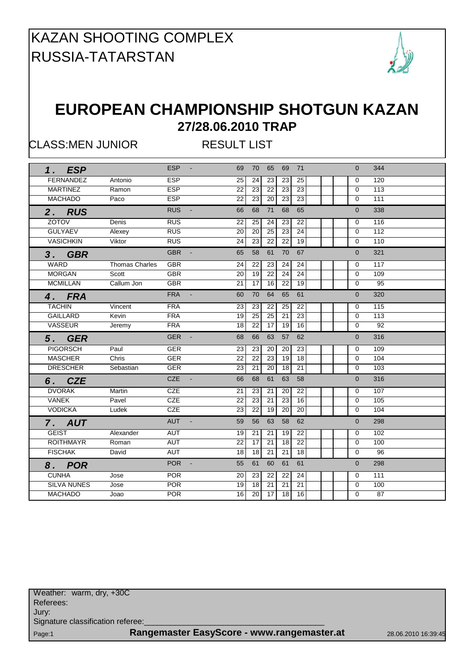

#### **EUROPEAN CHAMPIONSHIP SHOTGUN KAZAN 27/28.06.2010 TRAP**

CLASS:MEN JUNIOR RESULT LIST

| 1. ESP             |                       | <b>ESP</b>                   | 69              | 70              | 65              | 69 71           |                 | $\Omega$       | 344             |
|--------------------|-----------------------|------------------------------|-----------------|-----------------|-----------------|-----------------|-----------------|----------------|-----------------|
| <b>FERNANDEZ</b>   | Antonio               | <b>ESP</b>                   | 25              | 24              | 23              | 23              | $\overline{25}$ | $\Omega$       | 120             |
| <b>MARTINEZ</b>    | Ramon                 | <b>ESP</b>                   | 22              | 23              | 22              | 23              | 23              | $\Omega$       | 113             |
| <b>MACHADO</b>     | Paco                  | <b>ESP</b>                   | 22              | 23              | 20              | 23              | 23              | $\Omega$       | 111             |
| 2. RUS             |                       | <b>RUS</b><br>$\blacksquare$ | 66              | 68              | 71              | 68              | 65              | $\Omega$       | 338             |
| ZOTOV              | Denis                 | <b>RUS</b>                   | 22              | 25              | 24              | 23              | 22              | $\Omega$       | 116             |
| <b>GULYAEV</b>     | Alexey                | <b>RUS</b>                   | 20              | 20              | 25              | 23              | 24              | $\mathbf 0$    | 112             |
| <b>VASICHKIN</b>   | Viktor                | <b>RUS</b>                   | $\overline{24}$ | 23              | 22              | $\overline{22}$ | 19              | $\Omega$       | 110             |
| 3. GBR             |                       | <b>GBR</b><br>$\blacksquare$ | 65              | 58              | 61              | 70              | 67              | $\overline{0}$ | 321             |
| WARD               | <b>Thomas Charles</b> | <b>GBR</b>                   | 24              | 22              | 23              | 24              | 24              | $\Omega$       | 117             |
| <b>MORGAN</b>      | Scott                 | <b>GBR</b>                   | 20              | 19              | 22              | 24              | $\overline{24}$ | $\Omega$       | 109             |
| <b>MCMILLAN</b>    | Callum Jon            | <b>GBR</b>                   | 21              | 17              | 16              | $\overline{22}$ | 19              | $\Omega$       | 95              |
| 4. FRA             |                       | <b>FRA</b><br>$\mathbf{r}$   | 60              | 70              | 64              | 65              | 61              | $\Omega$       | 320             |
| <b>TACHIN</b>      | Vincent               | <b>FRA</b>                   | 23              | 23              | 22              | 25              | 22              | $\Omega$       | 115             |
| <b>GAILLARD</b>    | Kevin                 | <b>FRA</b>                   | 19              | 25              | 25              | 21              | 23              | $\Omega$       | 113             |
| VASSEUR            | Jeremy                | <b>FRA</b>                   | 18              | 22              | 17              | 19              | 16              | $\Omega$       | $\overline{92}$ |
| 5. GER             |                       | <b>GER</b>                   | 68              | 66              | 63              | 57              | 62              | $\Omega$       | 316             |
| <b>PIGORSCH</b>    | Paul                  | <b>GER</b>                   | 23              | 23              | 20              | 20              | 23              | 0              | 109             |
| <b>MASCHER</b>     | Chris                 | <b>GER</b>                   | $\overline{22}$ | $\overline{22}$ | 23              | 19              | 18              | $\Omega$       | 104             |
| <b>DRESCHER</b>    | Sebastian             | <b>GER</b>                   | $\overline{23}$ | $\overline{21}$ | $\overline{20}$ | $\overline{18}$ | $\overline{21}$ | $\Omega$       | 103             |
| 6. CZE             |                       | CZE                          | 66              | 68              | 61              | 63              | 58              | $\Omega$       | 316             |
| <b>DVORAK</b>      | Martin                | <b>CZE</b>                   | 21              | 23              | 21              | 20              | 22              | $\Omega$       | 107             |
| <b>VANEK</b>       | Pavel                 | <b>CZE</b>                   | 22              | 23              | 21              | $\overline{23}$ | 16              | $\Omega$       | 105             |
| <b>VODICKA</b>     | Ludek                 | <b>CZE</b>                   | 23              | 22              | 19              | 20              | 20              | $\Omega$       | 104             |
| 7. AUT             |                       | AUT<br>$\sim$                | 59              | 56              | 63              | 58              | 62              | $\Omega$       | 298             |
| <b>GEIST</b>       | Alexander             | <b>AUT</b>                   | 19              | 21              | 21              | 19              | 22              | 0              | 102             |
| <b>ROITHMAYR</b>   | Roman                 | <b>AUT</b>                   | $\overline{22}$ | $\overline{17}$ | $\overline{21}$ | $\overline{18}$ | 22              | $\mathbf 0$    | 100             |
| <b>FISCHAK</b>     | David                 | <b>AUT</b>                   | 18              | 18              | 21              | 21              | 18              | $\Omega$       | 96              |
| 8. POR             |                       | <b>POR</b><br>$\sim$         | 55              | 61              | 60              | 61              | 61              | $\overline{0}$ | 298             |
| <b>CUNHA</b>       | Jose                  | <b>POR</b>                   | 20              | 23              | 22              | 22              | 24              | 0              | 111             |
| <b>SILVA NUNES</b> | Jose                  | <b>POR</b>                   | 19              | 18              | 21              | 21              | 21              | $\mathbf 0$    | 100             |
| <b>MACHADO</b>     | Joao                  | <b>POR</b>                   | 16              | 20              | 17              | 18              | 16              | $\Omega$       | $\overline{87}$ |
|                    |                       |                              |                 |                 |                 |                 |                 |                |                 |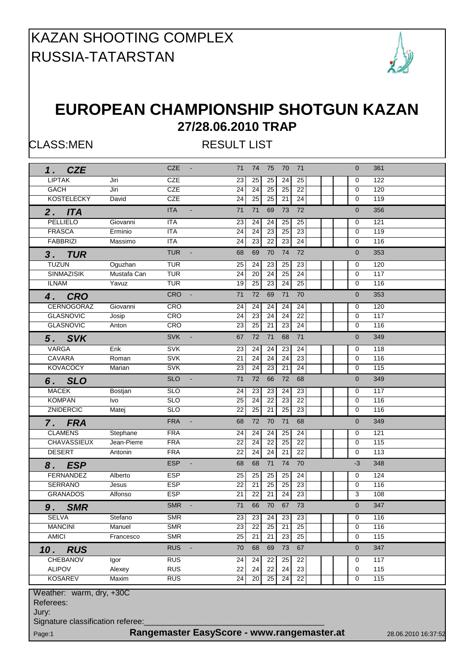

#### **EUROPEAN CHAMPIONSHIP SHOTGUN KAZAN 27/28.06.2010 TRAP**

CLASS:MEN RESULT LIST

| <b>CZE</b><br>1.                                                                      |             | <b>CZE</b><br>$\sim$ $\sim$  | 71<br>74<br>75<br>71<br>70                                                         | $\overline{0}$<br>361 |  |  |  |  |  |  |  |
|---------------------------------------------------------------------------------------|-------------|------------------------------|------------------------------------------------------------------------------------|-----------------------|--|--|--|--|--|--|--|
| <b>LIPTAK</b>                                                                         | Jiri        | <b>CZE</b>                   | 25<br>25<br>23<br>25<br>24                                                         | 122<br>0              |  |  |  |  |  |  |  |
| GACH                                                                                  | Jiri        | <b>CZE</b>                   | 22<br>24<br>24<br>25<br>25                                                         | 120<br>0              |  |  |  |  |  |  |  |
| <b>KOSTELECKY</b>                                                                     | David       | <b>CZE</b>                   | $\overline{24}$<br>24<br>25<br>25<br>21                                            | $\mathbf 0$<br>119    |  |  |  |  |  |  |  |
| 2. ITA                                                                                |             | <b>ITA</b><br>$\blacksquare$ | 72<br>71<br>71<br>69<br>73                                                         | $\mathbf{0}$<br>356   |  |  |  |  |  |  |  |
| <b>PELLIELO</b>                                                                       | Giovanni    | <b>ITA</b>                   | 23<br>24<br>24<br>25<br>25                                                         | 121<br>0              |  |  |  |  |  |  |  |
| <b>FRASCA</b>                                                                         | Erminio     | <b>ITA</b>                   | 23<br>25<br>23<br>24<br>24                                                         | 119<br>$\mathbf 0$    |  |  |  |  |  |  |  |
| <b>FABBRIZI</b>                                                                       | Massimo     | <b>ITA</b>                   | $\overline{22}$<br>23<br>24<br>24<br>23                                            | 116<br>0              |  |  |  |  |  |  |  |
|                                                                                       |             |                              |                                                                                    |                       |  |  |  |  |  |  |  |
| 3. TUR                                                                                |             | <b>TUR</b><br>$\blacksquare$ | 70<br>72<br>69<br>74<br>68                                                         | 353<br>$\mathbf{0}$   |  |  |  |  |  |  |  |
| <b>TUZUN</b>                                                                          | Oguzhan     | <b>TUR</b>                   | 25<br>24<br>23<br>25<br>23                                                         | 120<br>0              |  |  |  |  |  |  |  |
| <b>SINMAZISIK</b>                                                                     | Mustafa Can | <b>TUR</b>                   | 24<br>20<br>24<br>25<br>24                                                         | 117<br>$\mathbf 0$    |  |  |  |  |  |  |  |
| <b>ILNAM</b>                                                                          | Yavuz       | <b>TUR</b>                   | 25<br>23<br>$\overline{24}$<br>25<br>19                                            | 116<br>0              |  |  |  |  |  |  |  |
| 4. CRO                                                                                |             | <b>CRO</b>                   | 72<br>69<br>71<br>70<br>71                                                         | 353<br>$\overline{0}$ |  |  |  |  |  |  |  |
| CERNOGORAZ                                                                            | Giovanni    | CRO                          | 24<br>24<br>24<br>24<br>24                                                         | 120<br>0              |  |  |  |  |  |  |  |
| <b>GLASNOVIC</b>                                                                      | Josip       | CRO                          | 23<br>24<br>24<br>24<br>22                                                         | 117<br>$\mathbf 0$    |  |  |  |  |  |  |  |
| <b>GLASNOVIC</b>                                                                      | Anton       | <b>CRO</b>                   | $\overline{25}$<br>$\overline{21}$<br>$\overline{23}$<br>$\overline{24}$<br>23     | 116<br>$\mathbf 0$    |  |  |  |  |  |  |  |
| 5. SVK                                                                                |             | <b>SVK</b>                   | 72<br>71<br>68<br>71<br>67                                                         | 349<br>$\overline{0}$ |  |  |  |  |  |  |  |
| <b>VARGA</b>                                                                          | Erik        | <b>SVK</b>                   | 23<br>24<br>24<br>23<br>24                                                         | 118<br>0              |  |  |  |  |  |  |  |
| <b>CAVARA</b>                                                                         | Roman       | <b>SVK</b>                   | 24<br>24<br>24<br>$\overline{23}$<br>21                                            | 116<br>$\mathbf 0$    |  |  |  |  |  |  |  |
| <b>KOVACOCY</b>                                                                       | Marian      | <b>SVK</b>                   | 24<br>23<br>24<br>23<br>21                                                         | 115<br>0              |  |  |  |  |  |  |  |
|                                                                                       |             | <b>SLO</b><br>$\equiv$       | 72<br>72<br>71<br>66<br>68                                                         | 349                   |  |  |  |  |  |  |  |
| 6. SLO                                                                                |             |                              |                                                                                    | $\overline{0}$        |  |  |  |  |  |  |  |
| <b>MACEK</b>                                                                          | Bostjan     | <b>SLO</b>                   | 23<br>23<br>23<br>24<br>24                                                         | 117<br>0              |  |  |  |  |  |  |  |
| <b>KOMPAN</b>                                                                         | Ivo         | <b>SLO</b>                   | $\overline{25}$<br>$\overline{24}$<br>22<br>23<br>$\overline{22}$                  | 116<br>0              |  |  |  |  |  |  |  |
| ZNIDERCIC                                                                             | Matej       | <b>SLO</b>                   | $\overline{22}$<br>$\overline{25}$<br>$\overline{25}$<br>$\overline{23}$<br>21     | 116<br>$\mathbf 0$    |  |  |  |  |  |  |  |
| 7. FRA                                                                                |             | <b>FRA</b><br>$\equiv$       | 72<br>70<br>68<br>68<br>71                                                         | 349<br>$\overline{0}$ |  |  |  |  |  |  |  |
| <b>CLAMENS</b>                                                                        | Stephane    | <b>FRA</b>                   | 24<br>24<br>24<br>25<br>24                                                         | 121<br>$\mathbf 0$    |  |  |  |  |  |  |  |
| <b>CHAVASSIEUX</b>                                                                    | Jean-Pierre | <b>FRA</b>                   | 22<br>$\overline{22}$<br>$\overline{24}$<br>$\overline{22}$<br>$\overline{25}$     | 115<br>$\mathbf 0$    |  |  |  |  |  |  |  |
| <b>DESERT</b>                                                                         | Antonin     | <b>FRA</b>                   | $\overline{22}$<br>22<br>24<br>24<br>21                                            | 113<br>0              |  |  |  |  |  |  |  |
| 8. ESP                                                                                |             | <b>ESP</b><br>$\blacksquare$ | 71<br>70<br>68<br>68<br>74                                                         | $-3$<br>348           |  |  |  |  |  |  |  |
| <b>FERNANDEZ</b>                                                                      | Alberto     | <b>ESP</b>                   | 25<br>25<br>25<br>25<br>24                                                         | 124<br>0              |  |  |  |  |  |  |  |
| <b>SERRANO</b>                                                                        | Jesus       | <b>ESP</b>                   | 22<br>21<br>25<br>$\overline{25}$<br>$\overline{23}$                               | 116<br>0              |  |  |  |  |  |  |  |
| <b>GRANADOS</b>                                                                       | Alfonso     | <b>ESP</b>                   | $\overline{21}$<br>$\overline{24}$<br>23<br>22<br>21                               | 108<br>3              |  |  |  |  |  |  |  |
|                                                                                       |             | <b>SMR</b>                   | 70<br>71<br>66<br>67<br>73                                                         | 347<br>$\overline{0}$ |  |  |  |  |  |  |  |
| 9.<br><b>SMR</b>                                                                      |             |                              |                                                                                    |                       |  |  |  |  |  |  |  |
| <b>SELVA</b>                                                                          | Stefano     | <b>SMR</b>                   | 23<br>$24 \mid 23$<br>23<br>23                                                     | 0<br>116              |  |  |  |  |  |  |  |
| <b>MANCINI</b><br><b>AMICI</b>                                                        | Manuel      | <b>SMR</b><br><b>SMR</b>     | 23<br>22<br>25<br>21<br>25<br>25<br>$\overline{21}$<br>21<br>23<br>$\overline{25}$ | 116<br>0<br>115       |  |  |  |  |  |  |  |
|                                                                                       | Francesco   |                              |                                                                                    | 0                     |  |  |  |  |  |  |  |
| 10. RUS                                                                               |             | RUS -                        | 68<br>69<br>73<br>67<br>70                                                         | $\overline{0}$<br>347 |  |  |  |  |  |  |  |
| <b>CHEBANOV</b>                                                                       | Igor        | <b>RUS</b>                   | 24<br>24<br>22<br>25<br>22                                                         | 117<br>0              |  |  |  |  |  |  |  |
| <b>ALIPOV</b><br>RUS<br>24<br>$\overline{22}$<br>24<br>23<br>Alexey<br>22<br>115<br>0 |             |                              |                                                                                    |                       |  |  |  |  |  |  |  |
| <b>KOSAREV</b><br><b>RUS</b><br>22<br>24<br>20<br>25<br>24<br>115<br>Maxim<br>0       |             |                              |                                                                                    |                       |  |  |  |  |  |  |  |
| Weather: warm, dry, +30C                                                              |             |                              |                                                                                    |                       |  |  |  |  |  |  |  |
| Referees:                                                                             |             |                              |                                                                                    |                       |  |  |  |  |  |  |  |
| Jury:                                                                                 |             |                              |                                                                                    |                       |  |  |  |  |  |  |  |
| Signature classification referee:                                                     |             |                              |                                                                                    |                       |  |  |  |  |  |  |  |
| Page:1                                                                                |             |                              | Rangemaster EasyScore - www.rangemaster.at                                         | 28.06.2010 16:37:52   |  |  |  |  |  |  |  |
|                                                                                       |             |                              |                                                                                    |                       |  |  |  |  |  |  |  |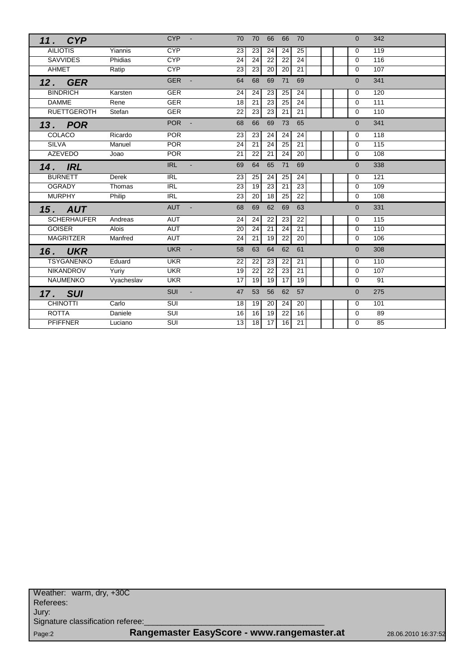| 11. CYP            |            | CYP-                       | 70<br>70<br>66<br>70<br>66                                        | 342<br>$\Omega$       |
|--------------------|------------|----------------------------|-------------------------------------------------------------------|-----------------------|
| <b>AILIOTIS</b>    | Yiannis    | <b>CYP</b>                 | 23<br>23<br>24<br>24<br>25                                        | 119<br>$\Omega$       |
| <b>SAVVIDES</b>    | Phidias    | <b>CYP</b>                 | $\overline{24}$<br>$\overline{22}$<br>$\overline{24}$<br>24<br>22 | 116<br>$\Omega$       |
| AHMET              | Ratip      | <b>CYP</b>                 | 21<br>23<br>23<br>20<br>20                                        | $\mathbf 0$<br>107    |
| 12. GER            |            | <b>GER</b>                 | 68<br>69<br>71<br>69<br>64                                        | 341<br>$\Omega$       |
| <b>BINDRICH</b>    | Karsten    | <b>GER</b>                 | 24<br>24<br>23<br>25<br>24                                        | 120<br>$\Omega$       |
| <b>DAMME</b>       | Rene       | <b>GER</b>                 | 23<br>25<br>24<br>18<br>21                                        | 111<br>$\Omega$       |
| <b>RUETTGEROTH</b> | Stefan     | <b>GER</b>                 | 22<br>23<br>23<br>21<br>21                                        | 110<br>$\Omega$       |
| 13. POR            |            | <b>POR</b>                 | 66<br>69<br>73<br>65<br>68                                        | 341<br>$\Omega$       |
| COLACO             | Ricardo    | <b>POR</b>                 | 23<br>23<br>24<br>24<br>24                                        | 118<br>$\mathbf 0$    |
| <b>SILVA</b>       | Manuel     | <b>POR</b>                 | 24<br>21<br>24<br>25<br>21                                        | 115<br>$\Omega$       |
| <b>AZEVEDO</b>     | Joao       | <b>POR</b>                 | 21<br>22<br>21<br>24<br>20                                        | 108<br>$\Omega$       |
| 14. IRL            |            | <b>IRL</b><br>$\mathbf{r}$ | 69<br>64<br>65<br>71<br>69                                        | 338<br>$\overline{0}$ |
| <b>BURNETT</b>     | Derek      | <b>IRL</b>                 | 23<br>25<br>24<br>25<br>24                                        | 121<br>0              |
| <b>OGRADY</b>      | Thomas     | <b>IRL</b>                 | 19<br>23<br>23<br>23<br>21                                        | 109<br>$\Omega$       |
| <b>MURPHY</b>      | Philip     | R                          | 22<br>23<br>20<br>18<br>25                                        | 108<br>$\Omega$       |
| <b>15. AUT</b>     |            | <b>AUT</b><br>$\sim$       | 69<br>62<br>69<br>63<br>68                                        | 331<br>$\Omega$       |
| <b>SCHERHAUFER</b> | Andreas    | <b>AUT</b>                 | 24<br>24<br>22<br>23<br>22                                        | 115<br>$\Omega$       |
| <b>GOISER</b>      | Alois      | AUT                        | 21<br>24<br>21<br>20<br>24                                        | 110<br>$\Omega$       |
| <b>MAGRITZER</b>   | Manfred    | <b>AUT</b>                 | $\overline{24}$<br>$\overline{21}$<br>19<br>22<br>20              | 106<br>$\Omega$       |
| <b>16. UKR</b>     |            | <b>UKR</b>                 | 63<br>62<br>61<br>58<br>64                                        | 308<br>$\overline{0}$ |
| <b>TSYGANENKO</b>  | Eduard     | <b>UKR</b>                 | 23<br>22<br>22<br>22<br>21                                        | 110<br>$\Omega$       |
| <b>NIKANDROV</b>   | Yuriy      | <b>UKR</b>                 | 19<br>22<br>22<br>23<br>21                                        | 107<br>$\Omega$       |
| NAUMENKO           | Vyacheslav | <b>UKR</b>                 | 17<br>17<br>19<br>19<br>19                                        | 91<br>$\Omega$        |
| <b>17. SUI</b>     |            | <b>SUI</b><br>$\sim$       | 53<br>62<br>47<br>56<br>57                                        | 275<br>$\Omega$       |
| <b>CHINOTTI</b>    | Carlo      | <b>SUI</b>                 | 18<br>19<br>20<br>24<br>20                                        | 101<br>$\Omega$       |
| <b>ROTTA</b>       | Daniele    | $\overline{\text{SUI}}$    | 16<br>19<br>$\overline{22}$<br>$\overline{16}$<br>16              | 89<br>$\Omega$        |
| <b>PFIFFNER</b>    | Luciano    | $\overline{\text{SUI}}$    | $\overline{17}$<br>13<br>18<br>16<br>21                           | 85<br>$\Omega$        |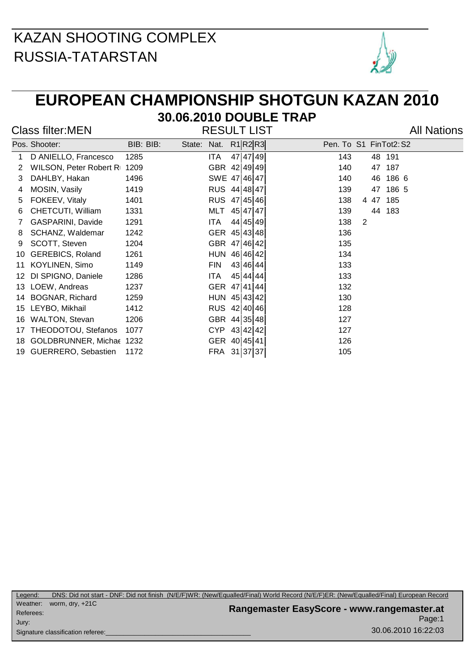

#### **EUROPEAN CHAMPIONSHIP SHOTGUN KAZAN 2010 30.06.2010 DOUBLE TRAP**

|  | Class filter:MEN |
|--|------------------|
|--|------------------|

RESULT LIST All Nations

|    | Pos. Shooter:               | BIB: BIB: | State: Nat. |              |          | R1 R2 R3 | Pen. To S1 FinTot2: S2 |
|----|-----------------------------|-----------|-------------|--------------|----------|----------|------------------------|
| 1. | D ANIELLO, Francesco        | 1285      |             | ITA.         |          | 47 47 49 | 143<br>48 191          |
| 2  | WILSON, Peter Robert R 1209 |           |             | GBR 42 49 49 |          |          | 140<br>187<br>47       |
| 3  | DAHLBY, Hakan               | 1496      |             | SWE 47 46 47 |          |          | 186 6<br>140<br>46     |
| 4  | MOSIN, Vasily               | 1419      |             | RUS 44 48 47 |          |          | 47 186 5<br>139        |
| 5  | FOKEEV, Vitaly              | 1401      |             | RUS 47 45 46 |          |          | 138<br>4 47 185        |
| 6  | CHETCUTI, William           | 1331      |             | MLT          | 45 47 47 |          | 139<br>44 183          |
| 7  | GASPARINI, Davide           | 1291      |             | ITA          |          | 44 45 49 | 2<br>138               |
| 8  | SCHANZ, Waldemar            | 1242      |             | GER 45 43 48 |          |          | 136                    |
| 9  | SCOTT, Steven               | 1204      |             | GBR 47 46 42 |          |          | 135                    |
| 10 | <b>GEREBICS, Roland</b>     | 1261      |             | HUN 46 46 42 |          |          | 134                    |
| 11 | KOYLINEN, Simo              | 1149      |             | <b>FIN</b>   |          | 43 46 44 | 133                    |
| 12 | DI SPIGNO, Daniele          | 1286      |             | ITA.         |          | 45 44 44 | 133                    |
| 13 | LOEW, Andreas               | 1237      |             | GER 47 41 44 |          |          | 132                    |
| 14 | BOGNAR, Richard             | 1259      |             | HUN 45 43 42 |          |          | 130                    |
| 15 | LEYBO, Mikhail              | 1412      |             | RUS 42 40 46 |          |          | 128                    |
|    | 16 WALTON, Stevan           | 1206      |             | GBR 44 35 48 |          |          | 127                    |
|    | 17 THEODOTOU, Stefanos      | 1077      |             | CYP 43 42 42 |          |          | 127                    |
|    | 18 GOLDBRUNNER, Michae 1232 |           |             | GER 40 45 41 |          |          | 126                    |
|    | 19 GUERRERO, Sebastien      | 1172      |             | FRA 31 37 37 |          |          | 105                    |
|    |                             |           |             |              |          |          |                        |

Page:1 **Rangemaster EasyScore - www.rangemaster.at** 30.06.2010 16:22:03 Weather: worm, dry, +21C Referees: Signature classification referee: Jury: Legend: DNS: Did not start - DNF: Did not finish (N/E/F)WR: (New/Equalled/Final) World Record (N/E/F)ER: (New/Equalled/Final) European Record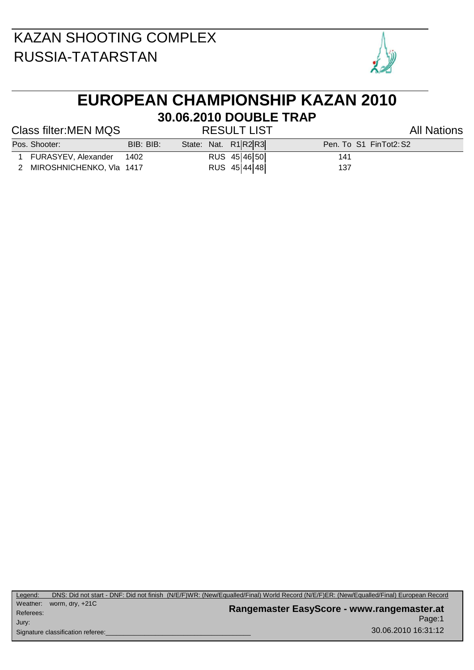

# **EUROPEAN CHAMPIONSHIP KAZAN 2010 30.06.2010 DOUBLE TRAP**

#### Class filter:MEN MQS RESULT LIST All Nations

| Pos. Shooter:              | BIB: BIB: |  | State: Nat. R1 R2 R3 |     | Pen. To S1 FinTot2:S2 |
|----------------------------|-----------|--|----------------------|-----|-----------------------|
| 1 FURASYEV, Alexander      | 1402      |  | RUS 45 46 50         | 141 |                       |
| 2 MIROSHNICHENKO, VIa 1417 |           |  | RUS 45 44 48         | 137 |                       |

Page:1 **Rangemaster EasyScore - www.rangemaster.at** 30.06.2010 16:31:12 Weather: worm, dry, +21C Referees: Signature classification referee: Jury: Legend: DNS: Did not start - DNF: Did not finish (N/E/F)WR: (New/Equalled/Final) World Record (N/E/F)ER: (New/Equalled/Final) European Record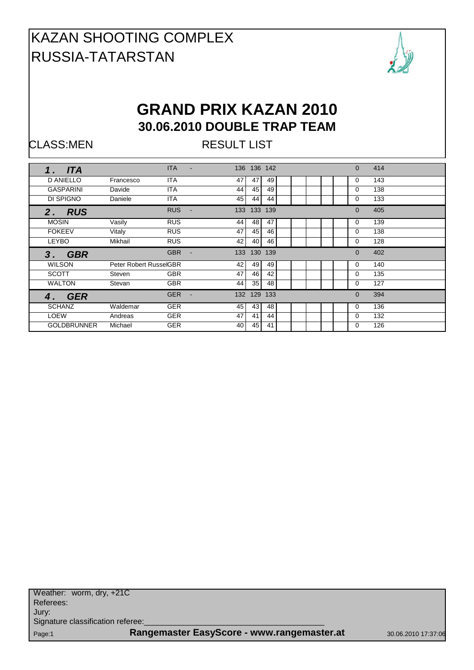

#### **GRAND PRIX KAZAN 2010 30.06.2010 DOUBLE TRAP TEAM**

CLASS:MEN RESULT LIST

| <b>ITA</b><br>1 <sub>1</sub> |                        | <b>ITA</b>                   |                 | 136 136 142     |     |  |  | $\Omega$ | 414 |  |
|------------------------------|------------------------|------------------------------|-----------------|-----------------|-----|--|--|----------|-----|--|
| <b>D ANIELLO</b>             | Francesco              | <b>ITA</b>                   | 47              | 47              | 49  |  |  | 0        | 143 |  |
| <b>GASPARINI</b>             | Davide                 | <b>ITA</b>                   | 44              | 45              | 49  |  |  | 0        | 138 |  |
| DI SPIGNO                    | Daniele                | <b>ITA</b>                   | 45 <sub>1</sub> | 44              | 44  |  |  | 0        | 133 |  |
| <b>RUS</b><br>2.             |                        | <b>RUS</b><br>$\blacksquare$ | 133             | 133             | 139 |  |  | $\Omega$ | 405 |  |
| <b>MOSIN</b>                 | Vasily                 | <b>RUS</b>                   | 44              | 48              | 47  |  |  | 0        | 139 |  |
| <b>FOKEEV</b>                | Vitaly                 | <b>RUS</b>                   | 47              | 45              | 46  |  |  | 0        | 138 |  |
| <b>LEYBO</b>                 | Mikhail                | <b>RUS</b>                   | 42              | 40              | 46  |  |  | 0        | 128 |  |
|                              |                        |                              |                 |                 |     |  |  |          |     |  |
| 3 <sub>1</sub><br><b>GBR</b> |                        | <b>GBR</b><br>$\blacksquare$ | 133             | 130             | 139 |  |  | $\Omega$ | 402 |  |
| <b>WILSON</b>                | Peter Robert RusselGBR |                              | 42              | 49              | 49  |  |  | 0        | 140 |  |
| <b>SCOTT</b>                 | Steven                 | <b>GBR</b>                   | 47              | 46              | 42  |  |  | 0        | 135 |  |
| <b>WALTON</b>                | Stevan                 | <b>GBR</b>                   | 44              | 35              | 48  |  |  | 0        | 127 |  |
| <b>GER</b><br>4.             |                        | <b>GER</b><br>$\sim$         |                 | 132 129         | 133 |  |  | $\Omega$ | 394 |  |
| <b>SCHANZ</b>                | Waldemar               | <b>GER</b>                   | 45              | 43 <sub>1</sub> | 48  |  |  | 0        | 136 |  |
| <b>LOEW</b>                  | Andreas                | <b>GER</b>                   | 47              | 41              | 44  |  |  | $\Omega$ | 132 |  |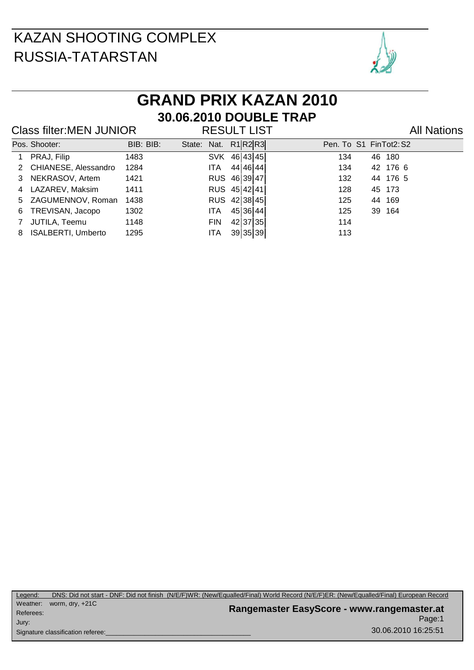

# **GRAND PRIX KAZAN 2010 30.06.2010 DOUBLE TRAP**

#### Class filter:MEN JUNIOR RESULT LIST Class filter:MEN JUNIOR

|   | Pos. Shooter:          | BIB: BIB: | State: Nat. R1 R2 R3 |              |          |          | Pen. To S1 FinTot2: S2 |  |
|---|------------------------|-----------|----------------------|--------------|----------|----------|------------------------|--|
|   | PRAJ, Filip            | 1483      |                      | SVK 46 43 45 |          |          | 134<br>46 180          |  |
|   | 2 CHIANESE, Alessandro | 1284      |                      | ITA.         | 44 46 44 |          | 42 176 6<br>134        |  |
|   | 3 NEKRASOV, Artem      | 1421      |                      | RUS 46 39 47 |          |          | 132<br>44 176 5        |  |
|   | 4 LAZAREV, Maksim      | 1411      |                      | RUS 45 42 41 |          |          | 128<br>45 173          |  |
|   | 5 ZAGUMENNOV, Roman    | 1438      |                      | RUS 42 38 45 |          |          | 125<br>44 169          |  |
| 6 | TREVISAN, Jacopo       | 1302      |                      | ITA.         | 45 36 44 |          | 125<br>39 164          |  |
| 7 | JUTILA, Teemu          | 1148      |                      | <b>FIN</b>   |          | 42 37 35 | 114                    |  |
|   | 8 ISALBERTI, Umberto   | 1295      |                      | <b>ITA</b>   |          | 39 35 39 | 113                    |  |
|   |                        |           |                      |              |          |          |                        |  |

Page:1 **Rangemaster EasyScore - www.rangemaster.at** 30.06.2010 16:25:51 Weather: worm, dry, +21C Referees: Signature classification referee: Jury: Legend: DNS: Did not start - DNF: Did not finish (N/E/F)WR: (New/Equalled/Final) World Record (N/E/F)ER: (New/Equalled/Final) European Record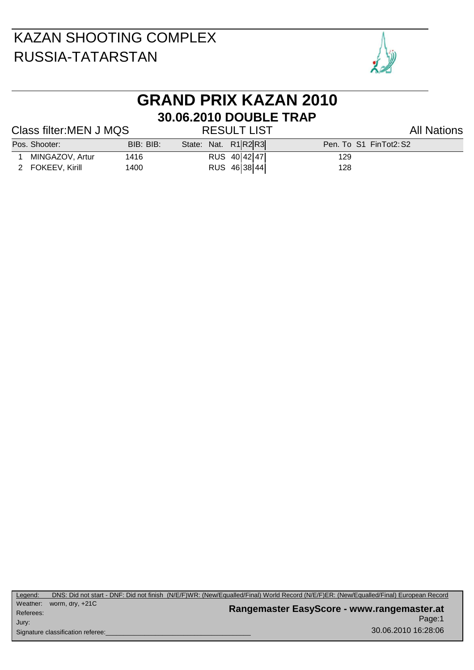

# **GRAND PRIX KAZAN 2010 30.06.2010 DOUBLE TRAP**

#### Class filter:MEN J MQS RESULT LIST All Nations

| Pos. Shooter:    | BIB: BIB: | State: Nat. R1 R2 R3 | Pen. To S1 FinTot2: S2 |  |
|------------------|-----------|----------------------|------------------------|--|
| MINGAZOV, Artur  | 1416      | RUS 40 42 47         | 129                    |  |
| 2 FOKEEV, Kirill | 1400      | RUS 46 38 44         | 128                    |  |

Page:1 **Rangemaster EasyScore - www.rangemaster.at** 30.06.2010 16:28:06 Weather: worm, dry, +21C Referees: Signature classification referee: Jury: Legend: DNS: Did not start - DNF: Did not finish (N/E/F)WR: (New/Equalled/Final) World Record (N/E/F)ER: (New/Equalled/Final) European Record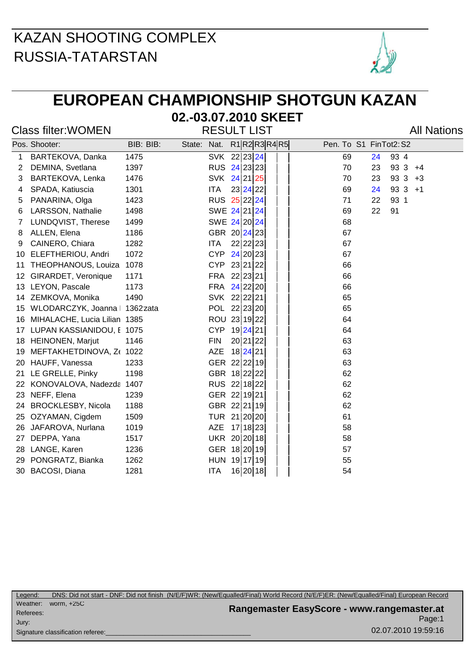

## **EUROPEAN CHAMPIONSHIP SHOTGUN KAZAN**

#### **02.-03.07.2010 SKEET**

Class filter: WOMEN RESULT LIST Class filter: WOMEN

|    | Pos. Shooter:                | BIB: BIB:             | State: Nat. |            | $R1$ R2R3R4R5 |  | Pen. To S1 FinTot2: S2   |
|----|------------------------------|-----------------------|-------------|------------|---------------|--|--------------------------|
| 1  | BARTEKOVA, Danka             | 1475                  |             |            | SVK 22 23 24  |  | 69<br>93 4<br>24         |
| 2  | DEMINA, Svetlana             | 1397                  |             |            | RUS 24 23 23  |  | $933 + 4$<br>70<br>23    |
| 3  | BARTEKOVA, Lenka             | 1476                  |             |            | SVK 24 21 25  |  | 70<br>93 3<br>23<br>$+3$ |
| 4  | SPADA, Katiuscia             | 1301                  |             | ITA        | 23 24 22      |  | 69<br>$933 + 1$<br>24    |
| 5  | PANARINA, Olga               | 1423                  |             |            | RUS 25 22 24  |  | 93 1<br>71<br>22         |
| 6  | LARSSON, Nathalie            | 1498                  |             |            | SWE 24 21 24  |  | 91<br>69<br>22           |
| 7  | LUNDQVIST, Therese           | 1499                  |             |            | SWE 24 20 24  |  | 68                       |
| 8  | ALLEN, Elena                 | 1186                  |             |            | GBR 20 24 23  |  | 67                       |
| 9  | CAINERO, Chiara              | 1282                  |             | ITA        | 22 22 23      |  | 67                       |
| 10 | ELEFTHERIOU, Andri           | 1072                  |             | <b>CYP</b> | 24 20 23      |  | 67                       |
| 11 | THEOPHANOUS, Louiza          | 1078                  |             | <b>CYP</b> | 23 21 22      |  | 66                       |
| 12 | GIRARDET, Veronique          | 1171                  |             | FRA        | 22 23 21      |  | 66                       |
| 13 | LEYON, Pascale               | 1173                  |             | FRA        | $24$ 22 20    |  | 66                       |
| 14 | ZEMKOVA, Monika              | 1490                  |             |            | SVK 22 22 21  |  | 65                       |
| 15 | WLODARCZYK, Joanna           | 1362 <sup>z</sup> ata |             |            | POL 22 23 20  |  | 65                       |
| 16 | MIHALACHE, Lucia Lilian 1385 |                       |             |            | ROU 23 19 22  |  | 64                       |
|    | 17 LUPAN KASSIANIDOU, E 1075 |                       |             | <b>CYP</b> | 19 24 21      |  | 64                       |
| 18 | HEINONEN, Marjut             | 1146                  |             | <b>FIN</b> | 20 21 22      |  | 63                       |
| 19 | MEFTAKHETDINOVA, Z( 1022     |                       |             | <b>AZE</b> | 18 24 21      |  | 63                       |
| 20 | HAUFF, Vanessa               | 1233                  |             |            | GER 22 22 19  |  | 63                       |
| 21 | LE GRELLE, Pinky             | 1198                  |             |            | GBR 18 22 22  |  | 62                       |
| 22 | KONOVALOVA, Nadezda          | 1407                  |             |            | RUS 22 18 22  |  | 62                       |
| 23 | NEFF, Elena                  | 1239                  |             |            | GER 22 19 21  |  | 62                       |
| 24 | <b>BROCKLESBY, Nicola</b>    | 1188                  |             |            | GBR 22 21 19  |  | 62                       |
| 25 | OZYAMAN, Cigdem              | 1509                  |             |            | TUR 21 20 20  |  | 61                       |
| 26 | JAFAROVA, Nurlana            | 1019                  |             | <b>AZE</b> | 17 18 23      |  | 58                       |
| 27 | DEPPA, Yana                  | 1517                  |             |            | UKR 20 20 18  |  | 58                       |
| 28 | LANGE, Karen                 | 1236                  |             |            | GER 18 20 19  |  | 57                       |
| 29 | PONGRATZ, Bianka             | 1262                  |             |            | HUN 19 17 19  |  | 55                       |
| 30 | BACOSI, Diana                | 1281                  |             | <b>ITA</b> | 16 20 18      |  | 54                       |

Page:1 **Rangemaster EasyScore - www.rangemaster.at** 02.07.2010 19:59:16 Weather: worm, +25C Referees: Signature classification referee: Jury: Legend: DNS: Did not start - DNF: Did not finish (N/E/F)WR: (New/Equalled/Final) World Record (N/E/F)ER: (New/Equalled/Final) European Record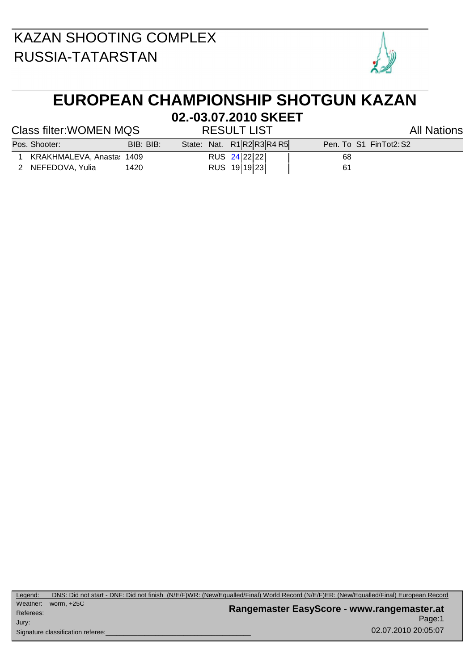

## **EUROPEAN CHAMPIONSHIP SHOTGUN KAZAN**

#### Class filter: WOMEN MQS RESULT LIST Class filter: WOMEN MQS

# **02.-03.07.2010 SKEET**

| 1 KRAKHMALEVA, Anasta: 1409 | RUS 24 22 22 | 68 |
|-----------------------------|--------------|----|

- 2 NEFEDOVA, Yulia 1420 RUS 19 19 23 | | 61
- Pos. Shooter: BIB: BIB: BIB: State: Nat. R1 R2 R3 R4 R5 Pen. To S1 FinTot2: S2

Page:1 **Rangemaster EasyScore - www.rangemaster.at** 02.07.2010 20:05:07 Weather: worm, +25C Referees: Signature classification referee: Jury: Legend: DNS: Did not start - DNF: Did not finish (N/E/F)WR: (New/Equalled/Final) World Record (N/E/F)ER: (New/Equalled/Final) European Record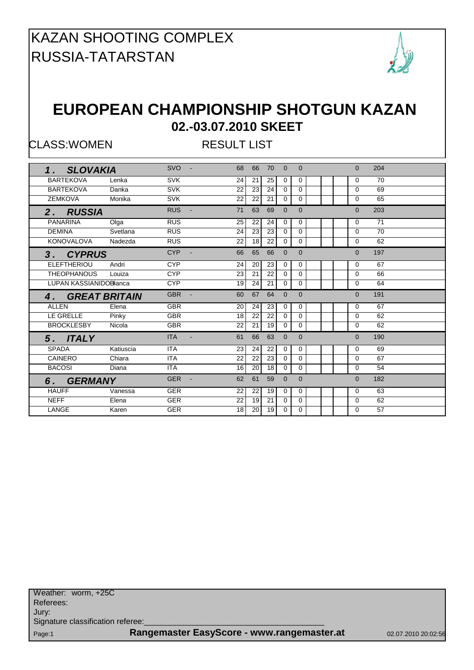

#### **EUROPEAN CHAMPIONSHIP SHOTGUN KAZAN 02.-03.07.2010 SKEET**

CLASS:WOMEN RESULT LIST

| 1. SLOVAKIA                    | <b>SVO</b><br>$\sim$ $-$ | 68                   | 66              | 70              | $\Omega$     | $\Omega$       |  | $\Omega$ | 204 |  |
|--------------------------------|--------------------------|----------------------|-----------------|-----------------|--------------|----------------|--|----------|-----|--|
| <b>BARTEKOVA</b><br>Lenka      | <b>SVK</b>               | 24                   | 21              | 25              | $\mathbf 0$  | 0              |  | $\Omega$ | 70  |  |
| <b>BARTEKOVA</b><br>Danka      | <b>SVK</b>               | 22                   | 23              | 24              | $\mathbf 0$  | $\Omega$       |  | $\Omega$ | 69  |  |
| <b>ZEMKOVA</b><br>Monika       | <b>SVK</b>               | 22                   | 22              | 21              | $\mathbf{0}$ | $\Omega$       |  | $\Omega$ | 65  |  |
| 2. RUSSIA                      | <b>RUS</b>               | 71<br>$\sim$         | 63              | 69              | $\Omega$     | $\Omega$       |  | $\Omega$ | 203 |  |
| <b>PANARINA</b><br>Olga        | <b>RUS</b>               | 25                   | 22              | 24              | $\mathbf 0$  | 0              |  | $\Omega$ | 71  |  |
| <b>DEMINA</b><br>Svetlana      | <b>RUS</b>               | 24                   | $\overline{23}$ | 23              | $\Omega$     | $\Omega$       |  | $\Omega$ | 70  |  |
| KONOVALOVA<br>Nadezda          | RUS                      | 22                   | 18              | $\overline{22}$ | $\mathbf{0}$ | $\Omega$       |  | $\Omega$ | 62  |  |
| 3. CYPRUS                      | <b>CYP</b>               | 66                   | 65              | 66              | $\Omega$     | $\Omega$       |  | $\Omega$ | 197 |  |
| <b>ELEFTHERIOU</b><br>Andri    | <b>CYP</b>               | 24                   | 20              | 23              | $\mathbf 0$  | 0              |  | $\Omega$ | 67  |  |
| THEOPHANOUS<br>Louiza          | <b>CYP</b>               | 23                   | 21              | 22              | $\Omega$     | $\Omega$       |  | $\Omega$ | 66  |  |
|                                |                          |                      |                 |                 |              |                |  |          |     |  |
| <b>LUPAN KASSIANIDOBlianca</b> | <b>CYP</b>               | 19                   | 24              | $\overline{21}$ | $\Omega$     | $\Omega$       |  | $\Omega$ | 64  |  |
| 4. GREAT BRITAIN               | <b>GBR</b>               | 60<br>$\sim$         | 67              | 64              | $\Omega$     | $\Omega$       |  | $\Omega$ | 191 |  |
| <b>ALLEN</b><br>Elena          | <b>GBR</b>               | 20                   | 24              | 23              | $\mathbf 0$  | 0              |  | $\Omega$ | 67  |  |
| LE GRELLE<br>Pinky             | <b>GBR</b>               | 18                   | 22              | 22              | $\Omega$     | $\Omega$       |  | $\Omega$ | 62  |  |
| <b>BROCKLESBY</b><br>Nicola    | <b>GBR</b>               | 22                   | 21              | 19              | $\mathbf{0}$ | $\Omega$       |  | $\Omega$ | 62  |  |
| 5. ITALY                       | <b>ITA</b>               | 61<br>$\sim$         | 66              | 63              | $\mathbf{0}$ | $\mathbf{0}$   |  | $\Omega$ | 190 |  |
| <b>SPADA</b><br>Katiuscia      | <b>ITA</b>               | 23                   | 24              | 22              | 0            | 0              |  | 0        | 69  |  |
| <b>CAINERO</b><br>Chiara       | <b>ITA</b>               | 22                   | 22              | 23              | $\mathbf{0}$ | $\mathbf 0$    |  | $\Omega$ | 67  |  |
| <b>BACOSI</b><br>Diana         | <b>ITA</b>               | 16                   | 20              | 18              | $\mathbf 0$  | $\Omega$       |  | 0        | 54  |  |
| 6. GERMANY                     | <b>GER</b>               | 62<br>$\overline{a}$ | 61              | 59              | $\mathbf{0}$ | $\overline{0}$ |  | $\Omega$ | 182 |  |
| <b>HAUFF</b><br>Vanessa        | <b>GER</b>               | 22                   | 22              | 19              | $\mathbf 0$  | 0              |  | 0        | 63  |  |
| <b>NEFF</b><br>Elena           | <b>GER</b>               | 22                   | 19              | 21              | $\mathbf{0}$ | $\Omega$       |  | $\Omega$ | 62  |  |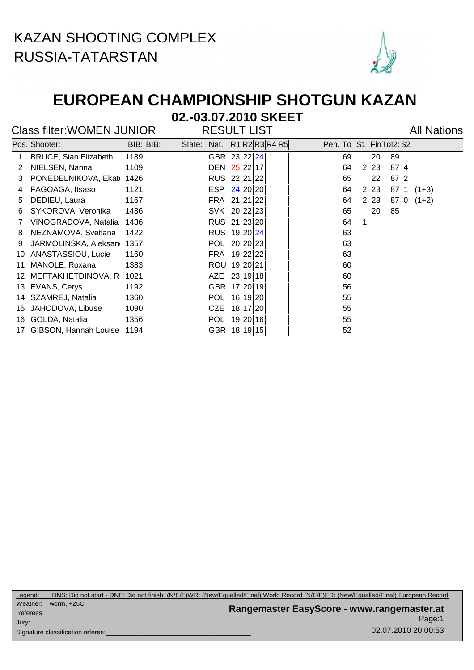

## **EUROPEAN CHAMPIONSHIP SHOTGUN KAZAN**

**02.-03.07.2010 SKEET**

#### Class filter: WOMEN JUNIOR RESULT LIST Class filter: WOMEN JUNIOR

|     | Pos. Shooter:                | BIB: BIB: | State: | Nat.         |          |          | R1 R2 R3 R4 R5 |  | Pen. To S1 FinTot2: S2 |         |       |    |      |         |  |
|-----|------------------------------|-----------|--------|--------------|----------|----------|----------------|--|------------------------|---------|-------|----|------|---------|--|
|     | <b>BRUCE, Sian Elizabeth</b> | 1189      |        | GBR 23 22 24 |          |          |                |  |                        | 69      |       | 20 | 89   |         |  |
| 2   | NIELSEN, Nanna               | 1109      |        | DEN 25 22 17 |          |          |                |  |                        | 64      | 2 2 3 |    | 874  |         |  |
| 3   | PONEDELNIKOVA, Ekate 1426    |           |        | RUS 22 21 22 |          |          |                |  |                        | 65      |       | 22 | 87 2 |         |  |
| 4   | FAGOAGA, Itsaso              | 1121      |        | ESP          | 24 20 20 |          |                |  |                        | 64      | 2 2 3 |    | 87 1 | $(1+3)$ |  |
| 5.  | DEDIEU, Laura                | 1167      |        | FRA 21 21 22 |          |          |                |  |                        | 64      | 2 2 3 |    | 87 0 | $(1+2)$ |  |
| 6   | SYKOROVA, Veronika           | 1486      |        | SVK 20 22 23 |          |          |                |  |                        | 65      |       | 20 | 85   |         |  |
|     | VINOGRADOVA, Natalia         | 1436      |        | RUS 21 23 20 |          |          |                |  |                        | 64<br>1 |       |    |      |         |  |
| 8   | NEZNAMOVA, Svetlana          | 1422      |        | RUS 19 20 24 |          |          |                |  |                        | 63      |       |    |      |         |  |
| 9   | JARMOLINSKA, Aleksand 1357   |           |        | POL 20 20 23 |          |          |                |  |                        | 63      |       |    |      |         |  |
| 10  | ANASTASSIOU, Lucie           | 1160      |        | FRA 19 22 22 |          |          |                |  |                        | 63      |       |    |      |         |  |
| 11  | MANOLE, Roxana               | 1383      |        | ROU 19 20 21 |          |          |                |  |                        | 60      |       |    |      |         |  |
| 12. | MEFTAKHETDINOVA, Ri          | 1021      |        | <b>AZE</b>   | 23 19 18 |          |                |  |                        | 60      |       |    |      |         |  |
| 13. | EVANS, Cerys                 | 1192      |        | <b>GBR</b>   | 17 20 19 |          |                |  |                        | 56      |       |    |      |         |  |
| 14  | SZAMREJ, Natalia             | 1360      |        | <b>POL</b>   |          | 16 19 20 |                |  |                        | 55      |       |    |      |         |  |
| 15  | JAHODOVA, Libuse             | 1090      |        | CZE          |          | 18 17 20 |                |  |                        | 55      |       |    |      |         |  |
| 16  | GOLDA, Natalia               | 1356      |        | <b>POL</b>   |          | 19 20 16 |                |  |                        | 55      |       |    |      |         |  |
| 17  | GIBSON, Hannah Louise 1194   |           |        | GBR.         | 18 19 15 |          |                |  |                        | 52      |       |    |      |         |  |

Page:1 **Rangemaster EasyScore - www.rangemaster.at** 02.07.2010 20:00:53 Weather: worm, +25C Referees: Signature classification referee: Jury: Legend: DNS: Did not start - DNF: Did not finish (N/E/F)WR: (New/Equalled/Final) World Record (N/E/F)ER: (New/Equalled/Final) European Record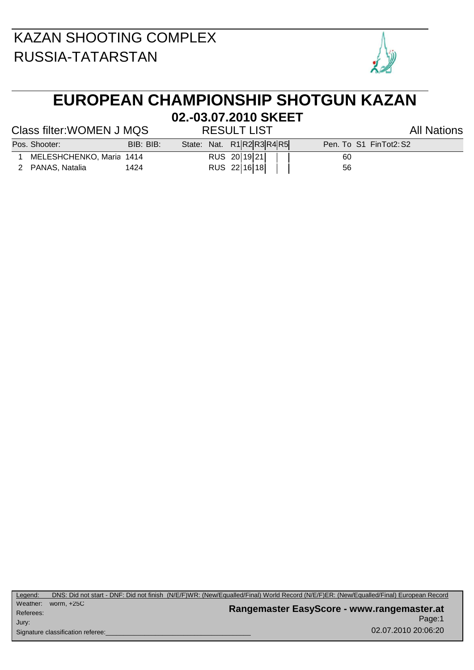

## **EUROPEAN CHAMPIONSHIP SHOTGUN KAZAN**

#### **02.-03.07.2010 SKEET**

#### Class filter: WOMEN J MQS RESULT LIST Class filter: WOMEN J MQS

| 1 MELESHCHENKO, Maria 141 |  |
|---------------------------|--|

- 2 PANAS, Natalia 1424 RUS 22 16 18 | | 56
- 1 MELES 20 19 21 | 60
- Pos. Shooter: BIB: BIB: BIB: State: Nat. R1 R2 R3 R4 R5 Pen. To S1 FinTot2: S2

Page:1 **Rangemaster EasyScore - www.rangemaster.at** 02.07.2010 20:06:20 Weather: Referees: Signature classification referee: worm, +25C Jury: Legend: DNS: Did not start - DNF: Did not finish (N/E/F)WR: (New/Equalled/Final) World Record (N/E/F)ER: (New/Equalled/Final) European Record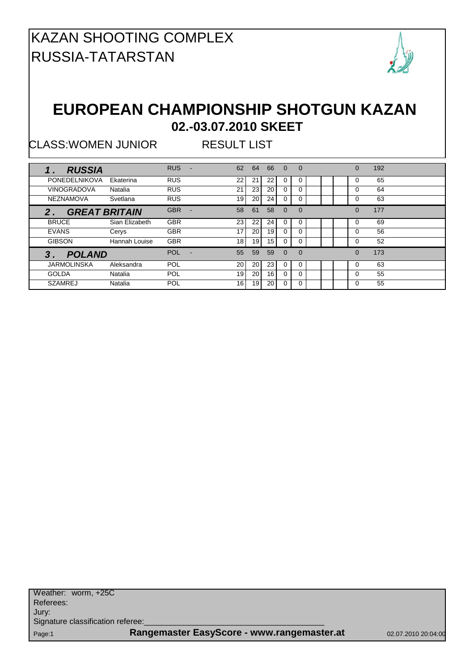

#### **EUROPEAN CHAMPIONSHIP SHOTGUN KAZAN 02.-03.07.2010 SKEET**

CLASS:WOMEN JUNIOR RESULT LIST

| <b>RUSSIA</b>                 |                | <b>RUS</b><br>÷ | 62              | 64              | 66              | $\Omega$ | $\Omega$ |  | 0        | 192 |  |
|-------------------------------|----------------|-----------------|-----------------|-----------------|-----------------|----------|----------|--|----------|-----|--|
| <b>PONEDELNIKOVA</b>          | Ekaterina      | <b>RUS</b>      | 22              | 21              | 22              | 0        | 0        |  | 0        | 65  |  |
| <b>VINOGRADOVA</b>            | Natalia        | <b>RUS</b>      | 21              | 23              | 20              | 0        | 0        |  | 0        | 64  |  |
| <b>NEZNAMOVA</b>              | Svetlana       | <b>RUS</b>      | 19              | 20 <sub>1</sub> | 24              | 0        | 0        |  | 0        | 63  |  |
| <b>GREAT BRITAIN</b><br>$2$ . |                | <b>GBR</b><br>٠ | 58              | 61              | 58              | $\Omega$ | $\Omega$ |  | 0        | 177 |  |
| <b>BRUCE</b>                  | Sian Elizabeth | <b>GBR</b>      | 23              | 22              | 24              | 0        | 0        |  | 0        | 69  |  |
| <b>EVANS</b>                  | Cerys          | <b>GBR</b>      | 17              | 20              | 19              | 0        | U        |  | O        | 56  |  |
| <b>GIBSON</b>                 | Hannah Louise  | <b>GBR</b>      | 18 <sup>1</sup> | 19              | 15 <sub>l</sub> | $\Omega$ | 0        |  | $\Omega$ | 52  |  |
| <b>POLAND</b><br>3            |                | <b>POL</b>      | 55              | 59              | 59              | $\Omega$ | $\Omega$ |  | $\Omega$ | 173 |  |
| <b>JARMOLINSKA</b>            | Aleksandra     | POL             | 20 <sub>1</sub> | 20 <sub>1</sub> | 23              | $\Omega$ | $\Omega$ |  | 0        | 63  |  |
| <b>GOLDA</b>                  | Natalia        | <b>POL</b>      | 19              | 20              | 16 <sup>1</sup> | $\Omega$ | $\Omega$ |  | 0        | 55  |  |
| <b>SZAMREJ</b>                | Natalia        | <b>POL</b>      | 16 <sup>1</sup> | 19              | 20              | 0        | $\Omega$ |  | 0        | 55  |  |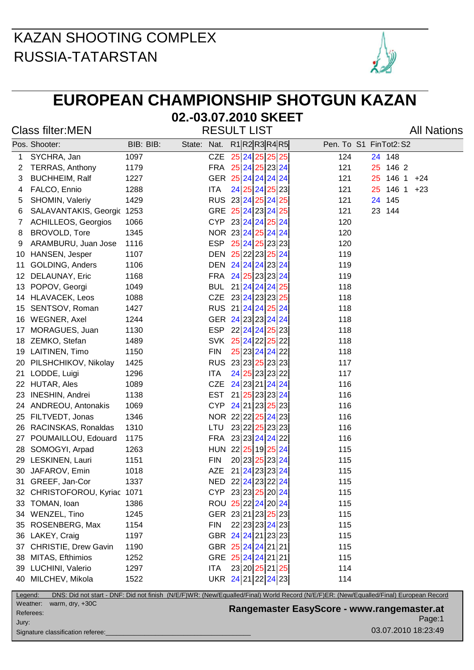

# **EUROPEAN CHAMPIONSHIP SHOTGUN KAZAN**

**02.-03.07.2010 SKEET**

| <b>Class filter:MEN</b> | <b>RESULT LIST</b> | <b>All Nations</b> |
|-------------------------|--------------------|--------------------|
|                         |                    |                    |

|         | Pos. Shooter:                | BIB: BIB: | State: Nat. |                    | R1 R2 R3 R4 R5 |  | Pen. To S1 FinTot2: S2                                                                                                                |
|---------|------------------------------|-----------|-------------|--------------------|----------------|--|---------------------------------------------------------------------------------------------------------------------------------------|
| 1       | SYCHRA, Jan                  | 1097      |             | <b>CZE</b>         | 25 24 25 25 25 |  | 124<br>24 148                                                                                                                         |
| 2       | <b>TERRAS, Anthony</b>       | 1179      |             | FRA 25 24 25 23 24 |                |  | 121<br>25 146 2                                                                                                                       |
| 3       | <b>BUCHHEIM, Ralf</b>        | 1227      |             | GER 25 24 24 24 24 |                |  | 25 146 1 +24<br>121                                                                                                                   |
| 4       | FALCO, Ennio                 | 1288      |             | ITA                | 24 25 24 25 23 |  | 146 1<br>121<br>25 <sub>2</sub><br>$+23$                                                                                              |
| 5       | SHOMIN, Valeriy              | 1429      |             | RUS 23 24 25 24 25 |                |  | 24 145<br>121                                                                                                                         |
| 6       | SALAVANTAKIS, Georgic        | 1253      |             | GRE 25 24 23 24 25 |                |  | 23 144<br>121                                                                                                                         |
| 7       | <b>ACHILLEOS, Georgios</b>   | 1066      |             | CYP 23 24 24 25 24 |                |  | 120                                                                                                                                   |
| 8       | BROVOLD, Tore                | 1345      |             | NOR 23 24 25 24 24 |                |  | 120                                                                                                                                   |
| 9       | ARAMBURU, Juan Jose          | 1116      |             | <b>ESP</b>         | 25 24 25 23 23 |  | 120                                                                                                                                   |
| 10      | HANSEN, Jesper               | 1107      |             | DEN 25 22 23 25 24 |                |  | 119                                                                                                                                   |
| 11      | GOLDING, Anders              | 1106      |             | DEN 24 24 24 23 24 |                |  | 119                                                                                                                                   |
| 12      | DELAUNAY, Eric               | 1168      |             | FRA 24 25 23 23 24 |                |  | 119                                                                                                                                   |
| 13      | POPOV, Georgi                | 1049      |             | BUL 21 24 24 24 25 |                |  | 118                                                                                                                                   |
| 14      | HLAVACEK, Leos               | 1088      |             | CZE 23 24 23 23 25 |                |  | 118                                                                                                                                   |
| 15      | SENTSOV, Roman               | 1427      |             | RUS 21 24 24 25 24 |                |  | 118                                                                                                                                   |
| 16      | WEGNER, Axel                 | 1244      |             | GER 24 23 23 24 24 |                |  | 118                                                                                                                                   |
| 17      | MORAGUES, Juan               | 1130      |             | ESP 22 24 24 25 23 |                |  | 118                                                                                                                                   |
| 18      | ZEMKO, Stefan                | 1489      |             | SVK 25 24 22 25 22 |                |  | 118                                                                                                                                   |
|         | 19 LAITINEN, Timo            | 1150      |             | <b>FIN</b>         | 25 23 24 24 22 |  | 118                                                                                                                                   |
| 20      | PILSHCHIKOV, Nikolay         | 1425      |             | RUS 23 23 25 23 23 |                |  | 117                                                                                                                                   |
| 21      | LODDE, Luigi                 | 1296      |             | ITA.               | 24 25 23 23 22 |  | 117                                                                                                                                   |
|         | 22 HUTAR, Ales               | 1089      |             | CZE 24 23 21 24 24 |                |  | 116                                                                                                                                   |
| 23      | <b>INESHIN, Andrei</b>       | 1138      |             | <b>EST</b>         | 21 25 23 23 24 |  | 116                                                                                                                                   |
| 24      | ANDREOU, Antonakis           | 1069      |             | <b>CYP</b>         | 24 21 23 25 23 |  | 116                                                                                                                                   |
| 25      | FILTVEDT, Jonas              | 1346      |             | NOR 22 22 25 24 23 |                |  | 116                                                                                                                                   |
| 26      | RACINSKAS, Ronaldas          | 1310      |             | LTU                | 23 22 25 23 23 |  | 116                                                                                                                                   |
| 27      | POUMAILLOU, Edouard          | 1175      |             | FRA 23 23 24 24 22 |                |  | 116                                                                                                                                   |
| 28      | SOMOGYI, Arpad               | 1263      |             | HUN 22 25 19 25 24 |                |  | 115                                                                                                                                   |
| 29      | LESKINEN, Lauri              | 1151      |             | <b>FIN</b>         | 20 23 25 23 24 |  | 115                                                                                                                                   |
| 30      | JAFAROV, Emin                | 1018      |             | AZE 21 24 23 23 24 |                |  | 115                                                                                                                                   |
|         | 31 GREEF, Jan-Cor            | 1337      |             | NED 22 24 23 22 24 |                |  | 115                                                                                                                                   |
|         | 32 CHRISTOFOROU, Kyriac 1071 |           |             | CYP 23 23 25 20 24 |                |  | 115                                                                                                                                   |
|         | 33 TOMAN, Ioan               | 1386      |             | ROU 25 22 24 20 24 |                |  | 115                                                                                                                                   |
|         | 34 WENZEL, Tino              | 1245      |             | GER 23 21 23 25 23 |                |  | 115                                                                                                                                   |
| 35      | ROSENBERG, Max               | 1154      |             | <b>FIN</b>         | 22 23 23 24 23 |  | 115                                                                                                                                   |
|         | 36 LAKEY, Craig              | 1197      |             | GBR 24 24 21 23 23 |                |  | 115                                                                                                                                   |
| 37      | CHRISTIE, Drew Gavin         | 1190      |             | GBR 25 24 24 21 21 |                |  | 115                                                                                                                                   |
| 38      | MITAS, Efthimios             | 1252      |             | GRE 25 24 24 21 21 |                |  | 115                                                                                                                                   |
|         | 39 LUCHINI, Valerio          | 1297      |             | <b>ITA</b>         | 23 20 25 21 25 |  | 114                                                                                                                                   |
|         | 40 MILCHEV, Mikola           | 1522      |             | UKR 24 21 22 24 23 |                |  | 114                                                                                                                                   |
| Legend: |                              |           |             |                    |                |  | DNS: Did not start - DNF: Did not finish (N/E/F)WR: (New/Equalled/Final) World Record (N/E/F)ER: (New/Equalled/Final) European Record |

Referees: Jury:

Signature classification referee:

Weather: warm, dry, +30C

Page:1 **Rangemaster EasyScore - www.rangemaster.at**

03.07.2010 18:23:49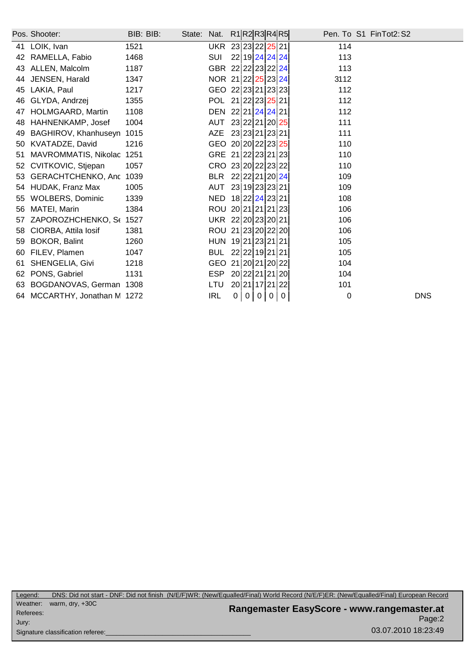|    | Pos. Shooter:             | BIB: BIB: | State: Nat. |                    | R1 R2 R3 R4 R5 |                |   |                |              | Pen. To S1 FinTot2: S2 |            |
|----|---------------------------|-----------|-------------|--------------------|----------------|----------------|---|----------------|--------------|------------------------|------------|
| 41 | LOIK, Ivan                | 1521      |             | UKR 23 23 22 25 21 |                |                |   |                |              | 114                    |            |
| 42 | RAMELLA, Fabio            | 1468      |             | <b>SUI</b>         | 22 19 24 24 24 |                |   |                |              | 113                    |            |
| 43 | ALLEN, Malcolm            | 1187      |             | GBR 22 22 23 22 24 |                |                |   |                |              | 113                    |            |
| 44 | JENSEN, Harald            | 1347      |             | NOR 21 22 25 23 24 |                |                |   |                |              | 3112                   |            |
| 45 | LAKIA, Paul               | 1217      |             | GEO 22 23 21 23 23 |                |                |   |                |              | 112                    |            |
| 46 | GLYDA, Andrzej            | 1355      |             | POL 21 22 23 25 21 |                |                |   |                |              | 112                    |            |
| 47 | HOLMGAARD, Martin         | 1108      |             | DEN 22 21 24 24 21 |                |                |   |                |              | 112                    |            |
| 48 | HAHNENKAMP, Josef         | 1004      |             | AUT                | 23 22 21 20 25 |                |   |                |              | 111                    |            |
| 49 | BAGHIROV, Khanhuseyn      | 1015      |             | AZE                | 23 23 21 23 21 |                |   |                |              | 111                    |            |
| 50 | KVATADZE, David           | 1216      |             | GEO 20 20 22 23 25 |                |                |   |                |              | 110                    |            |
| 51 | MAVROMMATIS, Nikolac 1251 |           |             | GRE 21 22 23 21 23 |                |                |   |                |              | 110                    |            |
| 52 | CVITKOVIC, Stjepan        | 1057      |             | CRO 23 20 22 23 22 |                |                |   |                |              | 110                    |            |
| 53 | GERACHTCHENKO, Anc 1039   |           |             | <b>BLR</b>         | 22 22 21 20 24 |                |   |                |              | 109                    |            |
|    | 54 HUDAK, Franz Max       | 1005      |             | AUT                | 23 19 23 23 21 |                |   |                |              | 109                    |            |
| 55 | <b>WOLBERS, Dominic</b>   | 1339      |             | NED 18 22 24 23 21 |                |                |   |                |              | 108                    |            |
| 56 | MATEI, Marin              | 1384      |             | ROU 20 21 21 21 23 |                |                |   |                |              | 106                    |            |
| 57 | ZAPOROZHCHENKO, St 1527   |           |             | UKR 22 20 23 20 21 |                |                |   |                |              | 106                    |            |
| 58 | CIORBA, Attila Iosif      | 1381      |             | ROU 21 23 20 22 20 |                |                |   |                |              | 106                    |            |
| 59 | BOKOR, Balint             | 1260      |             | HUN 19 21 23 21 21 |                |                |   |                |              | 105                    |            |
| 60 | FILEV, Plamen             | 1047      |             | BUL                | 22 22 19 21 21 |                |   |                |              | 105                    |            |
| 61 | SHENGELIA, Givi           | 1218      |             | <b>GEO</b>         | 21 20 21 20 22 |                |   |                |              | 104                    |            |
| 62 | PONS, Gabriel             | 1131      |             | <b>ESP</b>         | 20 22 21 21 20 |                |   |                |              | 104                    |            |
| 63 | BOGDANOVAS, German 1308   |           |             | LTU                | 20 21 17 21 22 |                |   |                |              | 101                    |            |
| 64 | MCCARTHY, Jonathan M 1272 |           |             | <b>IRL</b>         | $\overline{0}$ | $\overline{0}$ | 0 | $\overline{0}$ | $\mathbf{0}$ | 0                      | <b>DNS</b> |

Page:2 **Rangemaster EasyScore - www.rangemaster.at** 03.07.2010 18:23:49 Weather: warm, dry, +30C Referees: Signature classification referee: Jury: Legend: DNS: Did not start - DNF: Did not finish (N/E/F)WR: (New/Equalled/Final) World Record (N/E/F)ER: (New/Equalled/Final) European Record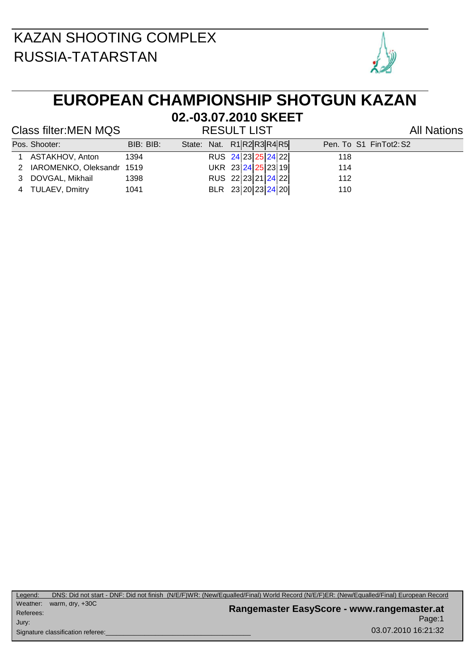

## **EUROPEAN CHAMPIONSHIP SHOTGUN KAZAN**

#### Class filter:MEN MQS RESULT LIST All Nations

# **02.-03.07.2010 SKEET**

| Pos. Shooter:               | BIB: BIB: |  | State: Nat. R1R2R3R4R5 | Pen. To S1 FinTot2: S2 |
|-----------------------------|-----------|--|------------------------|------------------------|
| 1 ASTAKHOV, Anton           | 1394      |  | RUS 24 23 25 24 22     | 118                    |
| 2 IAROMENKO, Oleksandr 1519 |           |  | UKR 23 24 25 23 19     | 114                    |
| 3 DOVGAL, Mikhail           | 1398      |  | RUS 22 23 21 24 22     | 112                    |
| 4 TULAEV, Dmitry            | 1041      |  | BLR 23 20 23 24 20     | 110                    |

Page:1 **Rangemaster EasyScore - www.rangemaster.at** 03.07.2010 16:21:32 Weather: warm, dry, +30C Referees: Signature classification referee: Jury: Legend: DNS: Did not start - DNF: Did not finish (N/E/F)WR: (New/Equalled/Final) World Record (N/E/F)ER: (New/Equalled/Final) European Record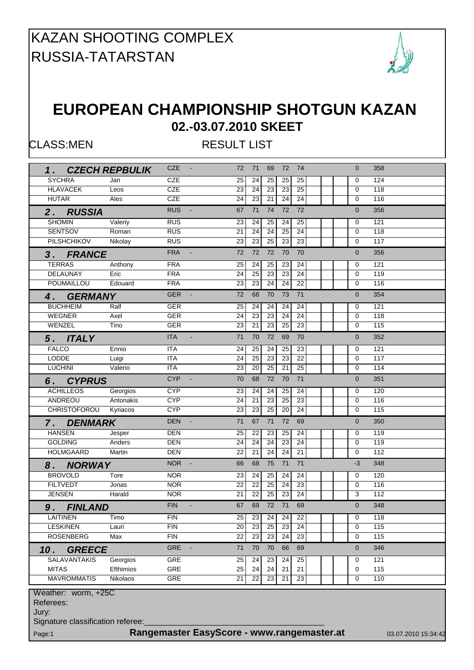

#### **EUROPEAN CHAMPIONSHIP SHOTGUN KAZAN 02.-03.07.2010 SKEET**

CLASS:MEN RESULT LIST

|                                   |                  | <b>CZE</b> | $\sim 100$                                 | 72              | 71              | 69              | 72              | 74              | $\Omega$       | 358                 |
|-----------------------------------|------------------|------------|--------------------------------------------|-----------------|-----------------|-----------------|-----------------|-----------------|----------------|---------------------|
| 1. CZECH REPBULIK                 |                  |            |                                            |                 |                 |                 |                 |                 |                |                     |
| <b>SYCHRA</b>                     | Jan              | <b>CZE</b> |                                            | 25              | 24              | 25              | 25              | 25              | 0              | 124                 |
| <b>HLAVACEK</b>                   | Leos             | <b>CZE</b> |                                            | 23              | $\overline{24}$ | 23              | 23              | $\overline{25}$ | $\mathbf 0$    | 118                 |
| <b>HUTAR</b>                      | Ales             | <b>CZE</b> |                                            | 24              | $\overline{23}$ | 21              | 24              | 24              | 0              | 116                 |
| 2. RUSSIA                         |                  | <b>RUS</b> | $\blacksquare$                             | 67              | 71              | 74              | 72              | 72              | $\overline{0}$ | 356                 |
| <b>SHOMIN</b>                     | Valeriy          | <b>RUS</b> |                                            | 23              | 24              | 25              | 24              | 25              | 0              | 121                 |
| <b>SENTSOV</b>                    | Roman            | <b>RUS</b> |                                            | $\overline{21}$ | $\overline{24}$ | 24              | 25              | 24              | 0              | 118                 |
| <b>PILSHCHIKOV</b>                | Nikolay          | <b>RUS</b> |                                            | 23              | 23              | 25              | 23              | 23              | 0              | $\overline{117}$    |
| 3. FRANCE                         |                  | <b>FRA</b> | $\blacksquare$                             | 72              | 72              | 72              | 70              | 70              | $\overline{0}$ | 356                 |
| <b>TERRAS</b>                     | Anthony          | <b>FRA</b> |                                            | 25              | 24              | 25              | 23              | 24              | 0              | 121                 |
| DELAUNAY                          | Eric             | <b>FRA</b> |                                            | 24              | 25              | 23              | 23              | 24              | 0              | 119                 |
| <b>POUMAILLOU</b>                 | Edouard          | <b>FRA</b> |                                            | $\overline{23}$ | 23              | $\overline{24}$ | $\overline{24}$ | $\overline{22}$ | $\Omega$       | 116                 |
| 4. GERMANY                        |                  | <b>GER</b> | $\sim$                                     | 72              | 68              | 70              | 73              | 71              | $\Omega$       | 354                 |
| <b>BUCHHEIM</b>                   | Ralf             | <b>GER</b> |                                            | 25              | 24              | 24              | 24              | 24              | 0              | 121                 |
| WEGNER                            | Axel             | <b>GER</b> |                                            | 24              | 23              | 23              | $\overline{24}$ | 24              | $\mathbf 0$    | 118                 |
| WENZEL                            | Tino             | <b>GER</b> |                                            | 23              | 21              | 23              | 25              | $\overline{23}$ | $\mathbf 0$    | 115                 |
|                                   |                  | <b>ITA</b> |                                            | 71              | 70              | 72              | 69              | 70              | $\overline{0}$ | 352                 |
| 5. ITALY                          |                  |            |                                            |                 |                 |                 |                 |                 |                |                     |
| <b>FALCO</b>                      | Ennio            | <b>ITA</b> |                                            | 24              | 25              | 24              | 25              | 23              | 0              | 121                 |
| <b>LODDE</b>                      | Luigi            | <b>ITA</b> |                                            | 24              | 25              | 23              | 23              | 22              | $\mathbf 0$    | 117                 |
| <b>LUCHINI</b>                    | Valerio          | <b>ITA</b> |                                            | 23              | 20              | 25              | 21              | 25              | 0              | 114                 |
| 6. CYPRUS                         |                  | <b>CYP</b> |                                            | 70              | 68              | 72              | 70              | 71              | $\overline{0}$ | 351                 |
| <b>ACHILLEOS</b>                  | Georgios         | <b>CYP</b> |                                            | 23              | 24              | 24              | 25              | 24              | 0              | 120                 |
| ANDREOU                           | Antonakis        | <b>CYP</b> |                                            | 24              | 21              | 23              | 25              | 23              | 0              | 116                 |
| CHRISTOFOROU Kyriacos             |                  | <b>CYP</b> |                                            | 23              | $\overline{23}$ | 25              | 20              | 24              | 0              | 115                 |
| 7. DENMARK                        |                  | <b>DEN</b> | $\equiv$                                   | 71              | 67              | 71              | 72              | 69              | $\overline{0}$ | 350                 |
| <b>HANSEN</b>                     | Jesper           | DEN        |                                            | 25              | 22              | 23              | 25              | 24              | 0              | 119                 |
| <b>GOLDING</b>                    | Anders           | <b>DEN</b> |                                            | $\overline{24}$ | 24              | $\overline{24}$ | 23              | $\overline{24}$ | $\mathbf 0$    | 119                 |
| <b>HOLMGAARD</b>                  | Martin           | <b>DEN</b> |                                            | 22              | 21              | 24              | 24              | $\overline{21}$ | 0              | 112                 |
| 8. NORWAY                         |                  | NOR -      |                                            | 66              | 68              | 75              | 71              | 71              | $-3$           | 348                 |
| <b>BROVOLD</b>                    | Tore             | <b>NOR</b> |                                            | 23              | 24              | 25              | 24              | 24              | 0              | 120                 |
| <b>FILTVEDT</b>                   | Jonas            | <b>NOR</b> |                                            | 22              | $\overline{22}$ | 25              | 24              | $\overline{23}$ | 0              | 116                 |
| <b>JENSEN</b>                     | Harald           | <b>NOR</b> |                                            | $\overline{21}$ | 22              | 25              | 23              | 24              | 3              | 112                 |
| 9. FINLAND                        |                  | <b>FIN</b> | $\blacksquare$                             | 67              | 69              | 72              | 71              | 69              | $\Omega$       | 348                 |
| <b>LAITINEN</b>                   | Timo             | <b>FIN</b> |                                            | 25              |                 |                 | 23 24 24 22     |                 | $\overline{0}$ | 118                 |
| <b>LESKINEN</b>                   | Lauri            | <b>FIN</b> |                                            | 20              | 23              | 25              | 23              | 24              | 0              | 115                 |
| <b>ROSENBERG</b>                  | Max              | <b>FIN</b> |                                            | 22              | 23              | 23              | 24              | 23              | 0              | 115                 |
| <b>GREECE</b><br>10.              |                  | <b>GRE</b> |                                            | 71              | 70              | 70              | 66              | 69              | $\mathbf{0}$   | 346                 |
| <b>SALAVANTAKIS</b>               | Georgios         | <b>GRE</b> |                                            | 25              | 24              | 23              | 24              | 25              | 0              | 121                 |
| <b>MITAS</b>                      | <b>Efthimios</b> | <b>GRE</b> |                                            | $\overline{25}$ | $\overline{24}$ | $\overline{24}$ | $\overline{21}$ | $\overline{21}$ | $\mathbf 0$    | 115                 |
| <b>MAVROMMATIS</b>                | Nikolaos         | <b>GRE</b> |                                            | $\overline{21}$ | $\overline{22}$ | 23              | $\overline{21}$ | $\overline{23}$ | $\mathbf 0$    | 110                 |
|                                   |                  |            |                                            |                 |                 |                 |                 |                 |                |                     |
| Weather: worm, +25C               |                  |            |                                            |                 |                 |                 |                 |                 |                |                     |
| Referees:                         |                  |            |                                            |                 |                 |                 |                 |                 |                |                     |
| Jury:                             |                  |            |                                            |                 |                 |                 |                 |                 |                |                     |
| Signature classification referee: |                  |            |                                            |                 |                 |                 |                 |                 |                |                     |
| Page:1                            |                  |            | Rangemaster EasyScore - www.rangemaster.at |                 |                 |                 |                 |                 |                | 03.07.2010 15:34:42 |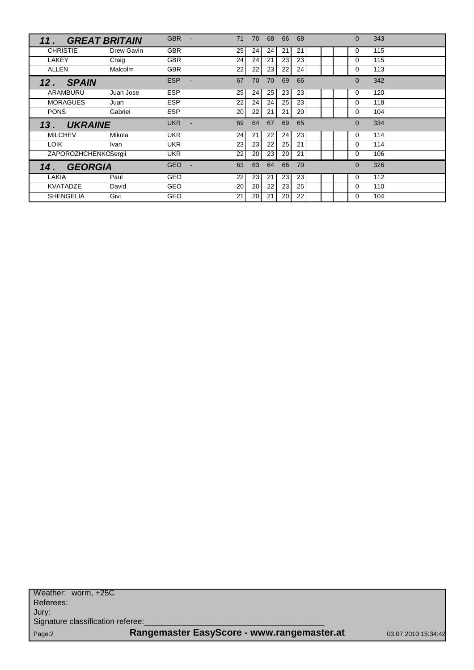| 11.                   | <b>GREAT BRITAIN</b> | <b>GBR</b><br>÷ | 71              | 70 | 68 | 66 | 68 |  | $\Omega$ | 343 |
|-----------------------|----------------------|-----------------|-----------------|----|----|----|----|--|----------|-----|
| <b>CHRISTIE</b>       | Drew Gavin           | <b>GBR</b>      | 25              | 24 | 24 | 21 | 21 |  | 0        | 115 |
| LAKEY                 | Craig                | <b>GBR</b>      | 24              | 24 | 21 | 23 | 23 |  | $\Omega$ | 115 |
| <b>ALLEN</b>          | Malcolm              | <b>GBR</b>      | 22              | 22 | 23 | 22 | 24 |  | $\Omega$ | 113 |
| <b>SPAIN</b><br>12.   |                      | <b>ESP</b>      | 67              | 70 | 70 | 69 | 66 |  | $\Omega$ | 342 |
| ARAMBURU              | Juan Jose            | <b>ESP</b>      | 25 <sub>1</sub> | 24 | 25 | 23 | 23 |  | 0        | 120 |
| <b>MORAGUES</b>       | Juan                 | <b>ESP</b>      | 22              | 24 | 24 | 25 | 23 |  | 0        | 118 |
| <b>PONS</b>           | Gabriel              | <b>ESP</b>      | 20              | 22 | 21 | 21 | 20 |  | $\Omega$ | 104 |
|                       |                      |                 |                 |    |    |    |    |  |          |     |
| <b>UKRAINE</b><br>13. |                      | <b>UKR</b>      | 69              | 64 | 67 | 69 | 65 |  | $\Omega$ | 334 |
| <b>MILCHEV</b>        | Mikola               | <b>UKR</b>      | 24              | 21 | 22 | 24 | 23 |  | $\Omega$ | 114 |
| <b>LOIK</b>           | Ivan                 | <b>UKR</b>      | 23              | 23 | 22 | 25 | 21 |  | $\Omega$ | 114 |
| ZAPOROZHCHENKOSergii  |                      | <b>UKR</b>      | 22              | 20 | 23 | 20 | 21 |  | $\Omega$ | 106 |
| <b>GEORGIA</b><br>14. |                      | <b>GEO</b>      | 63              | 63 | 64 | 66 | 70 |  | $\Omega$ | 326 |
| LAKIA                 | Paul                 | GEO             | 22              | 23 | 21 | 23 | 23 |  | $\Omega$ | 112 |
| <b>KVATADZE</b>       | David                | <b>GEO</b>      | 20              | 20 | 22 | 23 | 25 |  | $\Omega$ | 110 |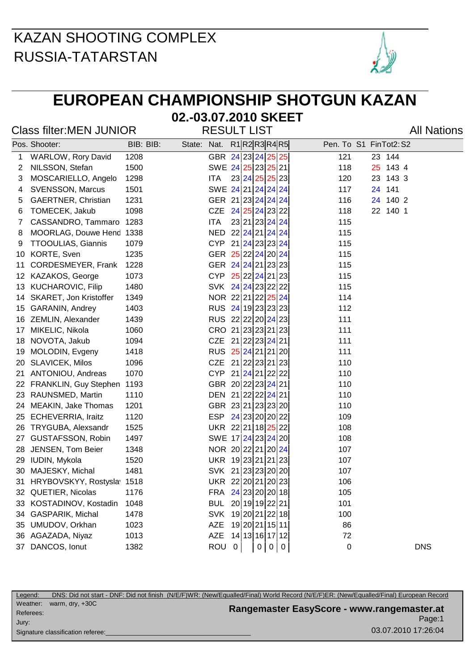

## **EUROPEAN CHAMPIONSHIP SHOTGUN KAZAN**

# **02.-03.07.2010 SKEET**

#### Class filter:MEN JUNIOR RESULT LIST Class filter:MEN JUNIOR

|    | Pos. Shooter:             | BIB: BIB: | State: Nat. R1 R2 R3 R4 R5 |                    |                |   |            | Pen. To S1 FinTot2: S2 |    |          |            |  |
|----|---------------------------|-----------|----------------------------|--------------------|----------------|---|------------|------------------------|----|----------|------------|--|
| 1  | WARLOW, Rory David        | 1208      |                            | GBR 24 23 24 25 25 |                |   |            | 121                    |    | 23 144   |            |  |
| 2  | NILSSON, Stefan           | 1500      |                            | SWE 24 25 23 25 21 |                |   |            | 118                    |    | 25 143 4 |            |  |
| 3  | MOSCARIELLO, Angelo       | 1298      |                            | <b>ITA</b>         | 23 24 25 25 23 |   |            | 120                    | 23 | 143 3    |            |  |
| 4  | <b>SVENSSON, Marcus</b>   | 1501      |                            | SWE 24 21 24 24 24 |                |   |            | 117                    | 24 | 141      |            |  |
| 5  | GAERTNER, Christian       | 1231      |                            | GER 21 23 24 24 24 |                |   |            | 116                    |    | 24 140 2 |            |  |
| 6  | TOMECEK, Jakub            | 1098      |                            | CZE                | 24 25 24 23 22 |   |            | 118                    |    | 22 140 1 |            |  |
| 7  | CASSANDRO, Tammaro        | 1283      |                            | <b>ITA</b>         | 23 21 23 24 24 |   |            | 115                    |    |          |            |  |
| 8  | MOORLAG, Douwe Hend       | 1338      |                            | NED 22 24 21 24 24 |                |   |            | 115                    |    |          |            |  |
| 9  | <b>TTOOULIAS, Giannis</b> | 1079      |                            | CYP 21 24 23 23 24 |                |   |            | 115                    |    |          |            |  |
| 10 | KORTE, Sven               | 1235      |                            | GER 25 22 24 20 24 |                |   |            | 115                    |    |          |            |  |
| 11 | CORDESMEYER, Frank        | 1228      |                            | GER 24 24 21 23 23 |                |   |            | 115                    |    |          |            |  |
|    | 12 KAZAKOS, George        | 1073      |                            | CYP 25 22 24 21 23 |                |   |            | 115                    |    |          |            |  |
|    | 13 KUCHAROVIC, Filip      | 1480      |                            | SVK 24 24 23 22 22 |                |   |            | 115                    |    |          |            |  |
| 14 | SKARET, Jon Kristoffer    | 1349      |                            | NOR 22 21 22 25 24 |                |   |            | 114                    |    |          |            |  |
| 15 | GARANIN, Andrey           | 1403      |                            | RUS 24 19 23 23 23 |                |   |            | 112                    |    |          |            |  |
|    | 16 ZEMLIN, Alexander      | 1439      |                            | RUS 22 22 20 24 23 |                |   |            | 111                    |    |          |            |  |
| 17 | MIKELIC, Nikola           | 1060      |                            | CRO 21 23 23 21 23 |                |   |            | 111                    |    |          |            |  |
| 18 | NOVOTA, Jakub             | 1094      |                            | CZE 21 22 23 24 21 |                |   |            | 111                    |    |          |            |  |
| 19 | MOLODIN, Evgeny           | 1418      |                            | RUS 25 24 21 21 20 |                |   |            | 111                    |    |          |            |  |
| 20 | SLAVICEK, Milos           | 1096      |                            | CZE 21 22 23 21 23 |                |   |            | 110                    |    |          |            |  |
| 21 | ANTONIOU, Andreas         | 1070      |                            | CYP 21 24 21 22 22 |                |   |            | 110                    |    |          |            |  |
| 22 | FRANKLIN, Guy Stephen     | 1193      |                            | GBR 20 22 23 24 21 |                |   |            | 110                    |    |          |            |  |
| 23 | RAUNSMED, Martin          | 1110      |                            | DEN 21 22 22 24 21 |                |   |            | 110                    |    |          |            |  |
| 24 | MEAKIN, Jake Thomas       | 1201      |                            | GBR 23 21 23 23 20 |                |   |            | 110                    |    |          |            |  |
| 25 | ECHEVERRIA, Iraitz        | 1120      |                            | ESP 24 23 20 20 22 |                |   |            | 109                    |    |          |            |  |
|    | 26 TRYGUBA, Alexsandr     | 1525      |                            | UKR 22 21 18 25 22 |                |   |            | 108                    |    |          |            |  |
| 27 | GUSTAFSSON, Robin         | 1497      |                            | SWE 17 24 23 24 20 |                |   |            | 108                    |    |          |            |  |
| 28 | JENSEN, Tom Beier         | 1348      |                            | NOR 20 22 21 20 24 |                |   |            | 107                    |    |          |            |  |
|    | 29 IUDIN, Mykola          | 1520      |                            | UKR 19 23 21 21 23 |                |   |            | 107                    |    |          |            |  |
| 30 | MAJESKY, Michal           | 1481      |                            | SVK 21 23 23 20 20 |                |   |            | 107                    |    |          |            |  |
| 31 | HRYBOVSKYY, Rostysla      | 1518      |                            | UKR 22 20 21 20 23 |                |   |            | 106                    |    |          |            |  |
|    | 32 QUETIER, Nicolas       | 1176      |                            | FRA 24 23 20 20 18 |                |   |            | 105                    |    |          |            |  |
|    | 33 KOSTADINOV, Kostadin   | 1048      |                            | <b>BUL</b>         | 20 19 19 22 21 |   |            | 101                    |    |          |            |  |
| 34 | <b>GASPARIK, Michal</b>   | 1478      |                            | SVK 19 20 21 22 18 |                |   |            | 100                    |    |          |            |  |
|    | 35 UMUDOV, Orkhan         | 1023      |                            | AZE                | 19 20 21 15 11 |   |            | 86                     |    |          |            |  |
| 36 | AGAZADA, Niyaz            | 1013      |                            | AZE                | 14 13 16 17 12 |   |            | 72                     |    |          |            |  |
|    | 37 DANCOS, Ionut          | 1382      |                            | ROU                | $\mathbf 0$    | 0 | $0 \mid 0$ | 0                      |    |          | <b>DNS</b> |  |
|    |                           |           |                            |                    |                |   |            |                        |    |          |            |  |

| Legend:   |                                   | DNS: Did not start - DNF: Did not finish (N/E/F)WR: (New/Equalled/Final) World Record (N/E/F)ER: (New/Equalled/Final) European Record |                     |
|-----------|-----------------------------------|---------------------------------------------------------------------------------------------------------------------------------------|---------------------|
| Weather:  | warm, $\text{dry}, +30\text{C}$   |                                                                                                                                       |                     |
| Referees: |                                   | Rangemaster EasyScore - www.rangemaster.at                                                                                            |                     |
| Jury:     |                                   |                                                                                                                                       | Page:1              |
|           | Signature classification referee: |                                                                                                                                       | 03.07.2010 17:26:04 |
|           |                                   |                                                                                                                                       |                     |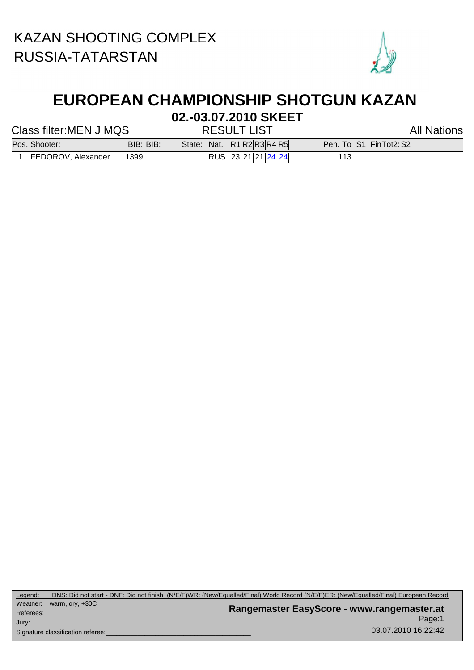

## **EUROPEAN CHAMPIONSHIP SHOTGUN KAZAN**

#### Class filter:MEN J MQS RESULT LIST Class filter:MEN J MQS

**02.-03.07.2010 SKEET**

Pos. Shooter: BIB: BIB: State: Nat. R1 R2 R3 R4 R5 Pen. To S1 FinTot2: S2

1 FEDOROV, Alexander 1399 RUS 23 21 21 24 24

Page:1 **Rangemaster EasyScore - www.rangemaster.at** 03.07.2010 16:22:42 Weather: warm, dry, +30C Referees: Signature classification referee: Jury: Legend: DNS: Did not start - DNF: Did not finish (N/E/F)WR: (New/Equalled/Final) World Record (N/E/F)ER: (New/Equalled/Final) European Record